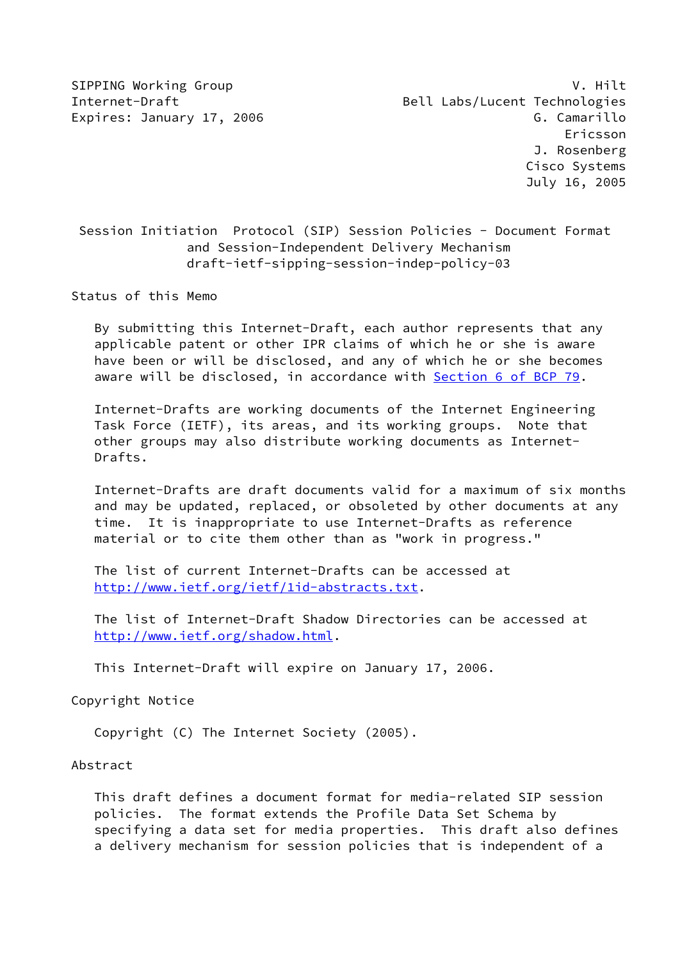Session Initiation Protocol (SIP) Session Policies - Document Format and Session-Independent Delivery Mechanism draft-ietf-sipping-session-indep-policy-03

Status of this Memo

 By submitting this Internet-Draft, each author represents that any applicable patent or other IPR claims of which he or she is aware have been or will be disclosed, and any of which he or she becomes aware will be disclosed, in accordance with Section [6 of BCP 79.](https://datatracker.ietf.org/doc/pdf/bcp79#section-6)

 Internet-Drafts are working documents of the Internet Engineering Task Force (IETF), its areas, and its working groups. Note that other groups may also distribute working documents as Internet- Drafts.

 Internet-Drafts are draft documents valid for a maximum of six months and may be updated, replaced, or obsoleted by other documents at any time. It is inappropriate to use Internet-Drafts as reference material or to cite them other than as "work in progress."

 The list of current Internet-Drafts can be accessed at <http://www.ietf.org/ietf/1id-abstracts.txt>.

 The list of Internet-Draft Shadow Directories can be accessed at <http://www.ietf.org/shadow.html>.

This Internet-Draft will expire on January 17, 2006.

Copyright Notice

Copyright (C) The Internet Society (2005).

Abstract

 This draft defines a document format for media-related SIP session policies. The format extends the Profile Data Set Schema by specifying a data set for media properties. This draft also defines a delivery mechanism for session policies that is independent of a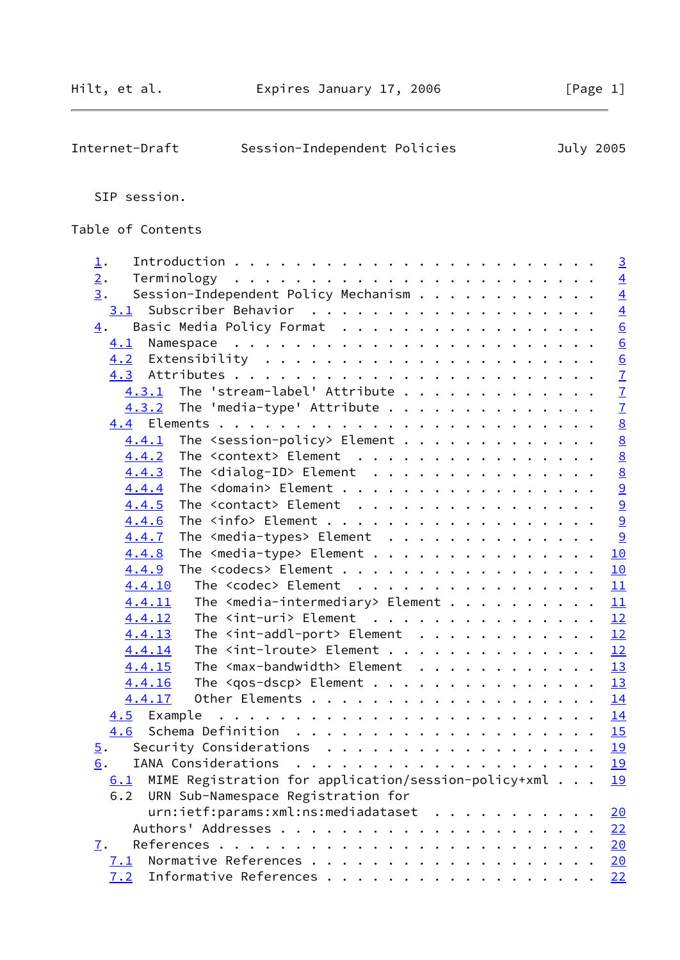| Internet-Draft | Session-Independent Policies |  | July 2005 |
|----------------|------------------------------|--|-----------|

SIP session.

Table of Contents

| 1.                                                                                                                                                                                                                                                                                                                                                                                                                                                                                                     |  | $\overline{3}$                            |
|--------------------------------------------------------------------------------------------------------------------------------------------------------------------------------------------------------------------------------------------------------------------------------------------------------------------------------------------------------------------------------------------------------------------------------------------------------------------------------------------------------|--|-------------------------------------------|
| 2.                                                                                                                                                                                                                                                                                                                                                                                                                                                                                                     |  | $\overline{4}$                            |
| 3.<br>Session-Independent Policy Mechanism                                                                                                                                                                                                                                                                                                                                                                                                                                                             |  | $\overline{4}$                            |
| 3.1                                                                                                                                                                                                                                                                                                                                                                                                                                                                                                    |  | $\frac{4}{6}$                             |
| Basic Media Policy Format<br>$\overline{4}$ .                                                                                                                                                                                                                                                                                                                                                                                                                                                          |  |                                           |
| 4.1                                                                                                                                                                                                                                                                                                                                                                                                                                                                                                    |  | $\underline{6}$                           |
|                                                                                                                                                                                                                                                                                                                                                                                                                                                                                                        |  |                                           |
|                                                                                                                                                                                                                                                                                                                                                                                                                                                                                                        |  | $\frac{6}{7}$ $\frac{7}{7}$ $\frac{7}{8}$ |
| The 'stream-label' Attribute<br>4.3.1                                                                                                                                                                                                                                                                                                                                                                                                                                                                  |  |                                           |
| The 'media-type' Attribute<br>4.3.2                                                                                                                                                                                                                                                                                                                                                                                                                                                                    |  |                                           |
|                                                                                                                                                                                                                                                                                                                                                                                                                                                                                                        |  |                                           |
| The $\leq$ session-policy> Element<br>4.4.1                                                                                                                                                                                                                                                                                                                                                                                                                                                            |  | $\underline{8}$                           |
| $4.4.2$ The <context> Element</context>                                                                                                                                                                                                                                                                                                                                                                                                                                                                |  | $\underline{8}$                           |
| The <dialog-id> Element<br/>4.4.3</dialog-id>                                                                                                                                                                                                                                                                                                                                                                                                                                                          |  | 8                                         |
| The <domain> Element<br/>4.4.4</domain>                                                                                                                                                                                                                                                                                                                                                                                                                                                                |  |                                           |
| The <contact> Element<br/>4.4.5</contact>                                                                                                                                                                                                                                                                                                                                                                                                                                                              |  | $\frac{9}{9}$                             |
| The $\langle$ info> Element<br>4.4.6                                                                                                                                                                                                                                                                                                                                                                                                                                                                   |  | 9                                         |
| The $\leq$ media-types> Element<br>4.4.7                                                                                                                                                                                                                                                                                                                                                                                                                                                               |  | 9                                         |
| The <media-type> Element<br/>4.4.8</media-type>                                                                                                                                                                                                                                                                                                                                                                                                                                                        |  | 10                                        |
| The <codecs> Element<br/>4.4.9</codecs>                                                                                                                                                                                                                                                                                                                                                                                                                                                                |  | <u>10</u>                                 |
| The <codec> Element<br/>4.4.10</codec>                                                                                                                                                                                                                                                                                                                                                                                                                                                                 |  | 11                                        |
| The $\leq$ media-intermediary> Element<br>4.4.11                                                                                                                                                                                                                                                                                                                                                                                                                                                       |  | 11                                        |
| The $\langle$ int-uri> Element<br>4.4.12                                                                                                                                                                                                                                                                                                                                                                                                                                                               |  | 12                                        |
| The $\le$ int-addl-port> Element<br>4.4.13                                                                                                                                                                                                                                                                                                                                                                                                                                                             |  | 12                                        |
| The $\le$ int-lroute> Element<br>4.4.14                                                                                                                                                                                                                                                                                                                                                                                                                                                                |  | 12                                        |
| The <max-bandwidth> Element<br/>4.4.15</max-bandwidth>                                                                                                                                                                                                                                                                                                                                                                                                                                                 |  | 13                                        |
| The $\langle$ qos-dscp> Element<br>4.4.16                                                                                                                                                                                                                                                                                                                                                                                                                                                              |  | 13                                        |
| 4.4.17                                                                                                                                                                                                                                                                                                                                                                                                                                                                                                 |  | 14                                        |
| $\mathbf{r}^{\mathsf{T}} \cdot \mathbf{r}^{\mathsf{T}} \cdot \mathbf{r}^{\mathsf{T}} \cdot \mathbf{r}^{\mathsf{T}} \cdot \mathbf{r}^{\mathsf{T}} \cdot \mathbf{r}^{\mathsf{T}} \cdot \mathbf{r}^{\mathsf{T}} \cdot \mathbf{r}^{\mathsf{T}} \cdot \mathbf{r}^{\mathsf{T}} \cdot \mathbf{r}^{\mathsf{T}} \cdot \mathbf{r}^{\mathsf{T}} \cdot \mathbf{r}^{\mathsf{T}} \cdot \mathbf{r}^{\mathsf{T}} \cdot \mathbf{r}^{\mathsf{T}} \cdot \mathbf{r}^{\mathsf{T}} \cdot \mathbf{r}^{\mathsf$<br>4.5 Example |  | 14                                        |
| 4.6                                                                                                                                                                                                                                                                                                                                                                                                                                                                                                    |  | 15                                        |
| Security Considerations<br>$\overline{5}$ .                                                                                                                                                                                                                                                                                                                                                                                                                                                            |  | 19                                        |
| $\underline{6}$ .                                                                                                                                                                                                                                                                                                                                                                                                                                                                                      |  | <u>19</u>                                 |
| MIME Registration for application/session-policy+xml<br>6.1                                                                                                                                                                                                                                                                                                                                                                                                                                            |  | 19                                        |
| URN Sub-Namespace Registration for<br>6.2                                                                                                                                                                                                                                                                                                                                                                                                                                                              |  |                                           |
| urn:ietf:params:xml:ns:mediadataset                                                                                                                                                                                                                                                                                                                                                                                                                                                                    |  | <u>20</u>                                 |
|                                                                                                                                                                                                                                                                                                                                                                                                                                                                                                        |  | 22                                        |
| $\mathbf{I}$ .                                                                                                                                                                                                                                                                                                                                                                                                                                                                                         |  | 20                                        |
| <u>7.1</u>                                                                                                                                                                                                                                                                                                                                                                                                                                                                                             |  | 20                                        |
| Informative References<br>7.2                                                                                                                                                                                                                                                                                                                                                                                                                                                                          |  | 22                                        |
|                                                                                                                                                                                                                                                                                                                                                                                                                                                                                                        |  |                                           |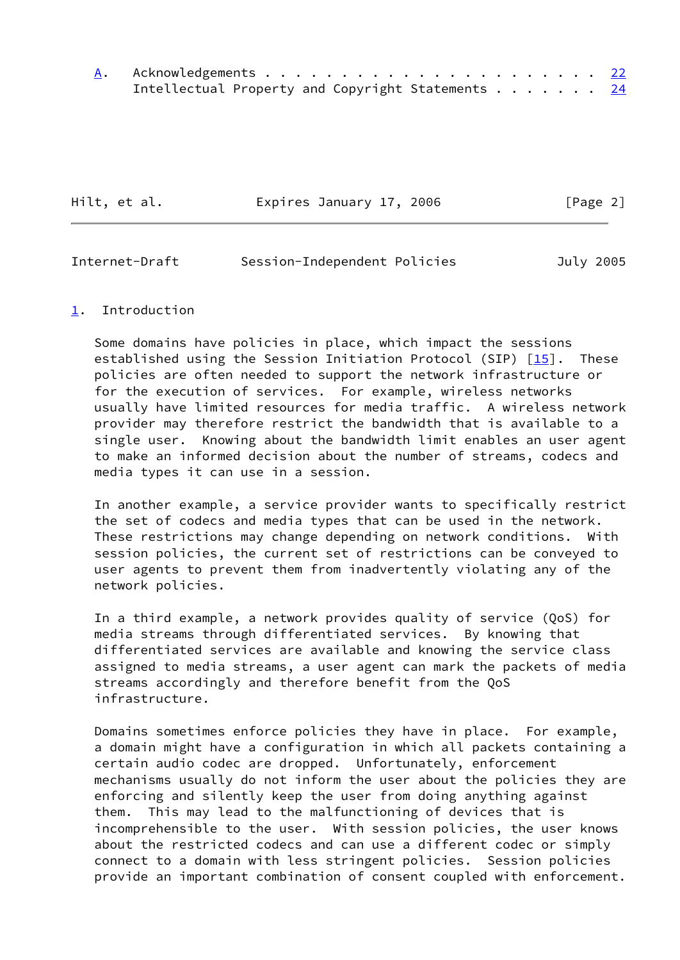| Intellectual Property and Copyright Statements 24 |  |
|---------------------------------------------------|--|

| Hilt, et al. | Expires January 17, 2006 | [Page 2] |
|--------------|--------------------------|----------|
|              |                          |          |

<span id="page-2-1"></span>

| Internet-Draft | Session-Independent Policies | July 2005 |
|----------------|------------------------------|-----------|
|----------------|------------------------------|-----------|

### <span id="page-2-0"></span>[1](#page-2-0). Introduction

 Some domains have policies in place, which impact the sessions established using the Session Initiation Protocol (SIP)  $[15]$ . These policies are often needed to support the network infrastructure or for the execution of services. For example, wireless networks usually have limited resources for media traffic. A wireless network provider may therefore restrict the bandwidth that is available to a single user. Knowing about the bandwidth limit enables an user agent to make an informed decision about the number of streams, codecs and media types it can use in a session.

 In another example, a service provider wants to specifically restrict the set of codecs and media types that can be used in the network. These restrictions may change depending on network conditions. With session policies, the current set of restrictions can be conveyed to user agents to prevent them from inadvertently violating any of the network policies.

 In a third example, a network provides quality of service (QoS) for media streams through differentiated services. By knowing that differentiated services are available and knowing the service class assigned to media streams, a user agent can mark the packets of media streams accordingly and therefore benefit from the QoS infrastructure.

 Domains sometimes enforce policies they have in place. For example, a domain might have a configuration in which all packets containing a certain audio codec are dropped. Unfortunately, enforcement mechanisms usually do not inform the user about the policies they are enforcing and silently keep the user from doing anything against them. This may lead to the malfunctioning of devices that is incomprehensible to the user. With session policies, the user knows about the restricted codecs and can use a different codec or simply connect to a domain with less stringent policies. Session policies provide an important combination of consent coupled with enforcement.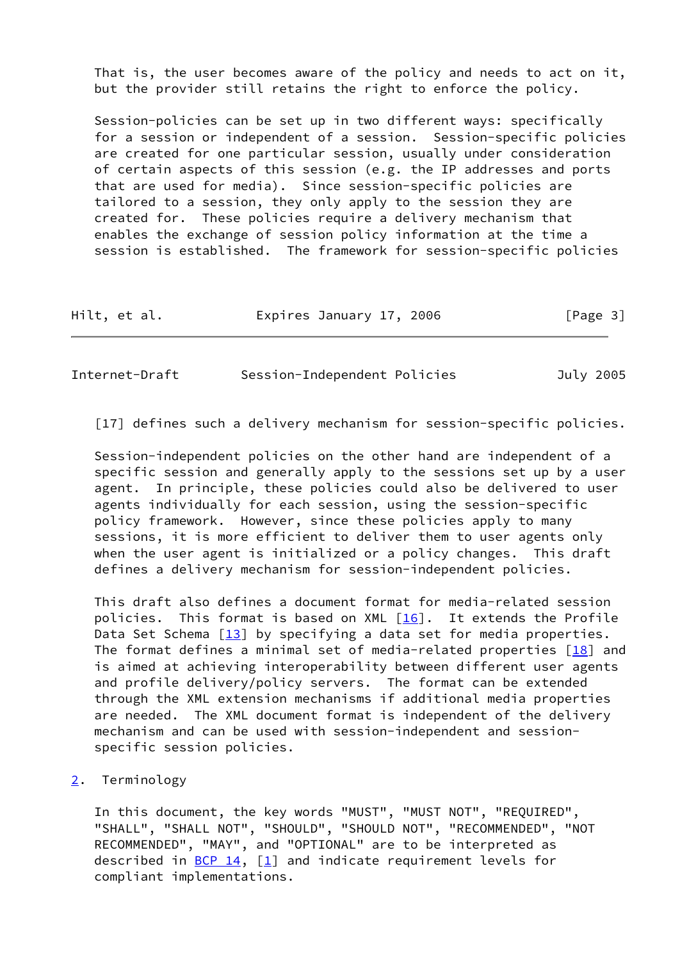That is, the user becomes aware of the policy and needs to act on it, but the provider still retains the right to enforce the policy.

 Session-policies can be set up in two different ways: specifically for a session or independent of a session. Session-specific policies are created for one particular session, usually under consideration of certain aspects of this session (e.g. the IP addresses and ports that are used for media). Since session-specific policies are tailored to a session, they only apply to the session they are created for. These policies require a delivery mechanism that enables the exchange of session policy information at the time a session is established. The framework for session-specific policies

| Hilt, et al.<br>Expires January 17, 2006 | [Page 3] |
|------------------------------------------|----------|
|------------------------------------------|----------|

<span id="page-3-1"></span>Internet-Draft Session-Independent Policies July 2005

[17] defines such a delivery mechanism for session-specific policies.

 Session-independent policies on the other hand are independent of a specific session and generally apply to the sessions set up by a user agent. In principle, these policies could also be delivered to user agents individually for each session, using the session-specific policy framework. However, since these policies apply to many sessions, it is more efficient to deliver them to user agents only when the user agent is initialized or a policy changes. This draft defines a delivery mechanism for session-independent policies.

 This draft also defines a document format for media-related session policies. This format is based on XML [\[16](#page-23-3)]. It extends the Profile Data Set Schema  $[13]$  by specifying a data set for media properties. The format defines a minimal set of media-related properties  $[18]$  and is aimed at achieving interoperability between different user agents and profile delivery/policy servers. The format can be extended through the XML extension mechanisms if additional media properties are needed. The XML document format is independent of the delivery mechanism and can be used with session-independent and session specific session policies.

<span id="page-3-0"></span>[2](#page-3-0). Terminology

 In this document, the key words "MUST", "MUST NOT", "REQUIRED", "SHALL", "SHALL NOT", "SHOULD", "SHOULD NOT", "RECOMMENDED", "NOT RECOMMENDED", "MAY", and "OPTIONAL" are to be interpreted as described in  $BCP_14$ ,  $[1]$  and indicate requirement levels for compliant implementations.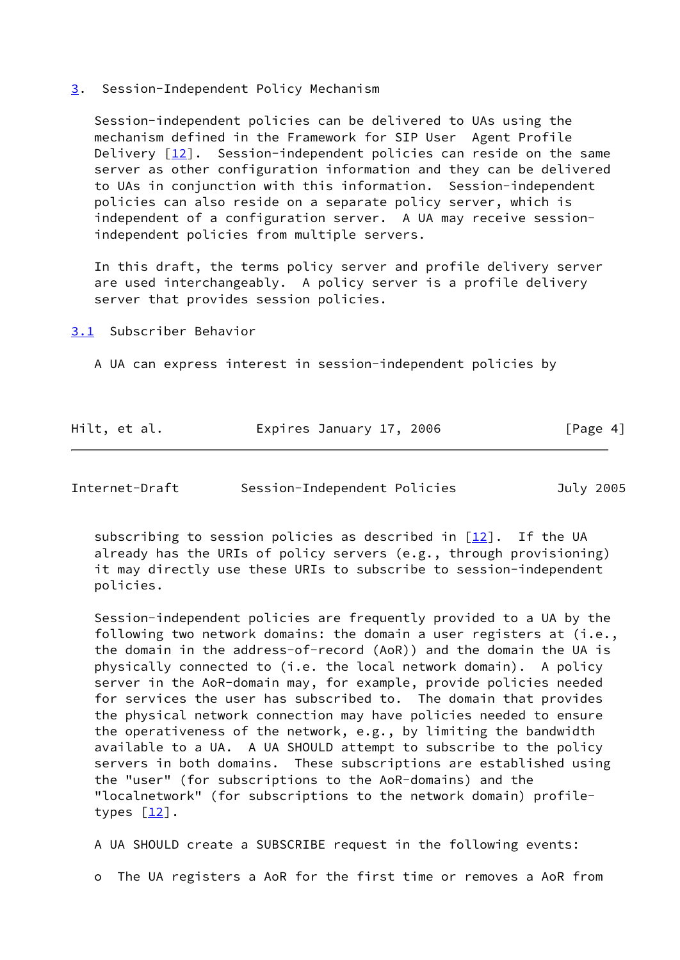#### <span id="page-4-0"></span>[3](#page-4-0). Session-Independent Policy Mechanism

 Session-independent policies can be delivered to UAs using the mechanism defined in the Framework for SIP User Agent Profile Delivery [\[12\]](#page-23-5). Session-independent policies can reside on the same server as other configuration information and they can be delivered to UAs in conjunction with this information. Session-independent policies can also reside on a separate policy server, which is independent of a configuration server. A UA may receive session independent policies from multiple servers.

 In this draft, the terms policy server and profile delivery server are used interchangeably. A policy server is a profile delivery server that provides session policies.

<span id="page-4-1"></span>[3.1](#page-4-1) Subscriber Behavior

A UA can express interest in session-independent policies by

| Hilt, et al. | Expires January 17, 2006 | [Page 4] |
|--------------|--------------------------|----------|
|              |                          |          |

Internet-Draft Session-Independent Policies July 2005

subscribing to session policies as described in  $[12]$ . If the UA already has the URIs of policy servers (e.g., through provisioning) it may directly use these URIs to subscribe to session-independent policies.

 Session-independent policies are frequently provided to a UA by the following two network domains: the domain a user registers at (i.e., the domain in the address-of-record (AoR)) and the domain the UA is physically connected to (i.e. the local network domain). A policy server in the AoR-domain may, for example, provide policies needed for services the user has subscribed to. The domain that provides the physical network connection may have policies needed to ensure the operativeness of the network, e.g., by limiting the bandwidth available to a UA. A UA SHOULD attempt to subscribe to the policy servers in both domains. These subscriptions are established using the "user" (for subscriptions to the AoR-domains) and the "localnetwork" (for subscriptions to the network domain) profile types  $\lceil \frac{12}{1} \rceil$ .

A UA SHOULD create a SUBSCRIBE request in the following events:

o The UA registers a AoR for the first time or removes a AoR from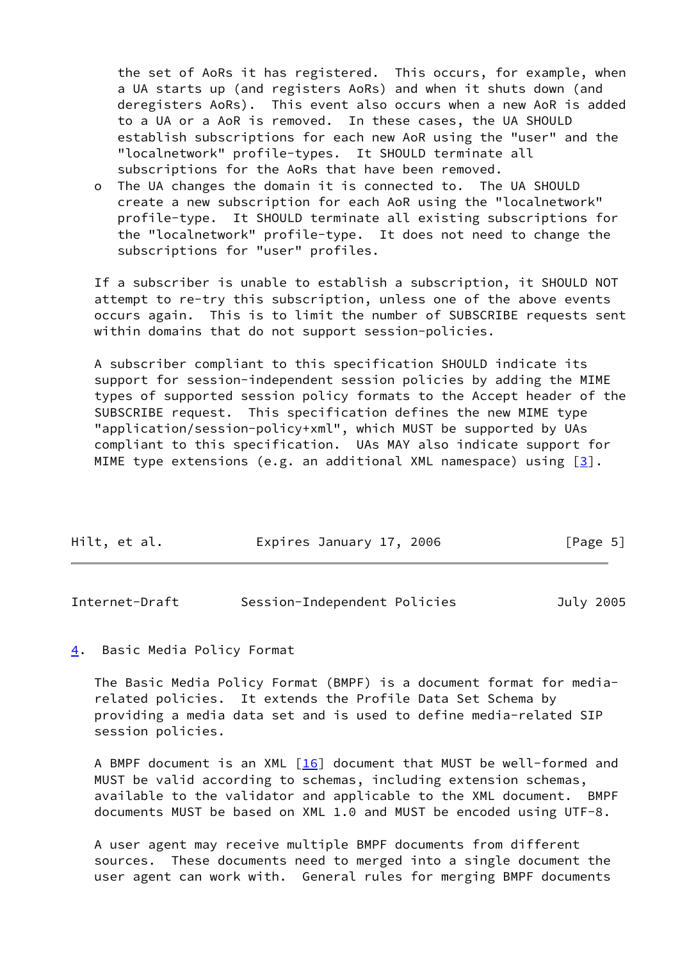the set of AoRs it has registered. This occurs, for example, when a UA starts up (and registers AoRs) and when it shuts down (and deregisters AoRs). This event also occurs when a new AoR is added to a UA or a AoR is removed. In these cases, the UA SHOULD establish subscriptions for each new AoR using the "user" and the "localnetwork" profile-types. It SHOULD terminate all subscriptions for the AoRs that have been removed.

 o The UA changes the domain it is connected to. The UA SHOULD create a new subscription for each AoR using the "localnetwork" profile-type. It SHOULD terminate all existing subscriptions for the "localnetwork" profile-type. It does not need to change the subscriptions for "user" profiles.

 If a subscriber is unable to establish a subscription, it SHOULD NOT attempt to re-try this subscription, unless one of the above events occurs again. This is to limit the number of SUBSCRIBE requests sent within domains that do not support session-policies.

 A subscriber compliant to this specification SHOULD indicate its support for session-independent session policies by adding the MIME types of supported session policy formats to the Accept header of the SUBSCRIBE request. This specification defines the new MIME type "application/session-policy+xml", which MUST be supported by UAs compliant to this specification. UAs MAY also indicate support for MIME type extensions (e.g. an additional XML namespace) using  $[3]$  $[3]$ .

| Hilt, et al. | Expires January 17, 2006 | [Page 5] |
|--------------|--------------------------|----------|
|              |                          |          |

<span id="page-5-1"></span>

| Internet-Draft | Session-Independent Policies | July 2005 |
|----------------|------------------------------|-----------|
|----------------|------------------------------|-----------|

<span id="page-5-0"></span>[4](#page-5-0). Basic Media Policy Format

 The Basic Media Policy Format (BMPF) is a document format for media related policies. It extends the Profile Data Set Schema by providing a media data set and is used to define media-related SIP session policies.

A BMPF document is an XML  $[16]$  $[16]$  document that MUST be well-formed and MUST be valid according to schemas, including extension schemas, available to the validator and applicable to the XML document. BMPF documents MUST be based on XML 1.0 and MUST be encoded using UTF-8.

 A user agent may receive multiple BMPF documents from different sources. These documents need to merged into a single document the user agent can work with. General rules for merging BMPF documents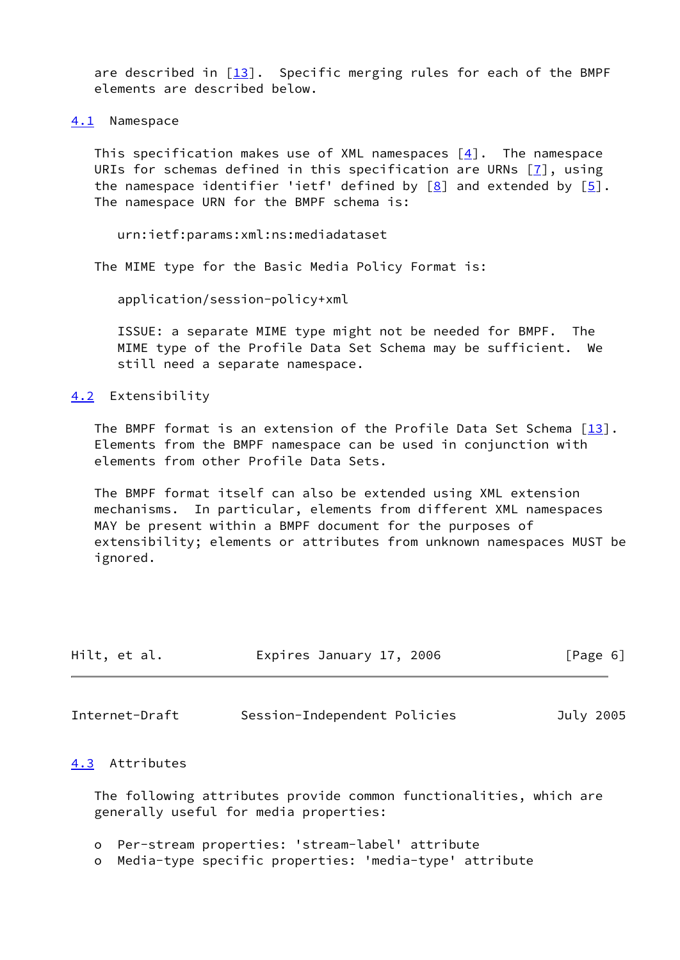are described in  $\lceil \frac{13}{1} \rceil$ . Specific merging rules for each of the BMPF elements are described below.

<span id="page-6-0"></span>[4.1](#page-6-0) Namespace

This specification makes use of XML namespaces  $[4]$  $[4]$ . The namespace URIs for schemas defined in this specification are URNs [\[7](#page-23-6)], using the namespace identifier 'ietf' defined by  $[8]$  $[8]$  and extended by  $[5]$  $[5]$ . The namespace URN for the BMPF schema is:

urn:ietf:params:xml:ns:mediadataset

The MIME type for the Basic Media Policy Format is:

application/session-policy+xml

 ISSUE: a separate MIME type might not be needed for BMPF. The MIME type of the Profile Data Set Schema may be sufficient. We still need a separate namespace.

<span id="page-6-1"></span>[4.2](#page-6-1) Extensibility

The BMPF format is an extension of the Profile Data Set Schema  $[13]$  $[13]$ . Elements from the BMPF namespace can be used in conjunction with elements from other Profile Data Sets.

 The BMPF format itself can also be extended using XML extension mechanisms. In particular, elements from different XML namespaces MAY be present within a BMPF document for the purposes of extensibility; elements or attributes from unknown namespaces MUST be ignored.

| Hilt, et al. | Expires January 17, 2006 | [Page 6] |
|--------------|--------------------------|----------|
|              |                          |          |

<span id="page-6-3"></span>Internet-Draft Session-Independent Policies July 2005

### <span id="page-6-2"></span>[4.3](#page-6-2) Attributes

 The following attributes provide common functionalities, which are generally useful for media properties:

- o Per-stream properties: 'stream-label' attribute
- o Media-type specific properties: 'media-type' attribute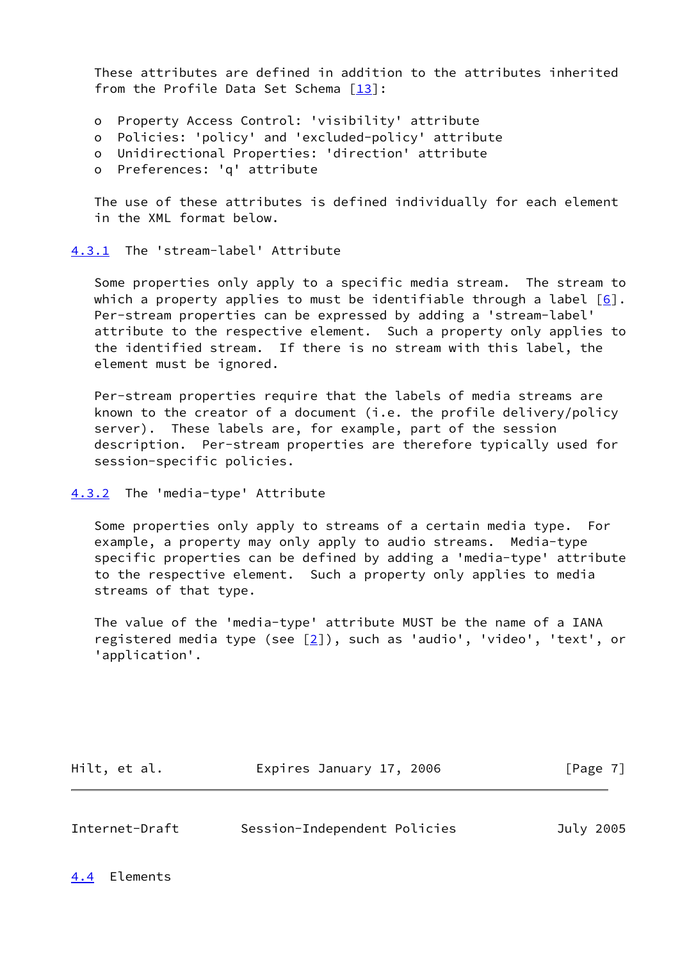These attributes are defined in addition to the attributes inherited from the Profile Data Set Schema  $[13]$ :

- o Property Access Control: 'visibility' attribute
- o Policies: 'policy' and 'excluded-policy' attribute
- o Unidirectional Properties: 'direction' attribute
- o Preferences: 'q' attribute

 The use of these attributes is defined individually for each element in the XML format below.

<span id="page-7-0"></span>[4.3.1](#page-7-0) The 'stream-label' Attribute

 Some properties only apply to a specific media stream. The stream to which a property applies to must be identifiable through a label  $[6]$ . Per-stream properties can be expressed by adding a 'stream-label' attribute to the respective element. Such a property only applies to the identified stream. If there is no stream with this label, the element must be ignored.

 Per-stream properties require that the labels of media streams are known to the creator of a document (i.e. the profile delivery/policy server). These labels are, for example, part of the session description. Per-stream properties are therefore typically used for session-specific policies.

```
4.3.2 The 'media-type' Attribute
```
 Some properties only apply to streams of a certain media type. For example, a property may only apply to audio streams. Media-type specific properties can be defined by adding a 'media-type' attribute to the respective element. Such a property only applies to media streams of that type.

 The value of the 'media-type' attribute MUST be the name of a IANA registered media type (see  $[2]$  $[2]$ ), such as 'audio', 'video', 'text', or 'application'.

| Hilt, et al. | Expires January 17, 2006 | [Page 7] |
|--------------|--------------------------|----------|
|--------------|--------------------------|----------|

<span id="page-7-3"></span>Internet-Draft Session-Independent Policies July 2005

<span id="page-7-2"></span>[4.4](#page-7-2) Elements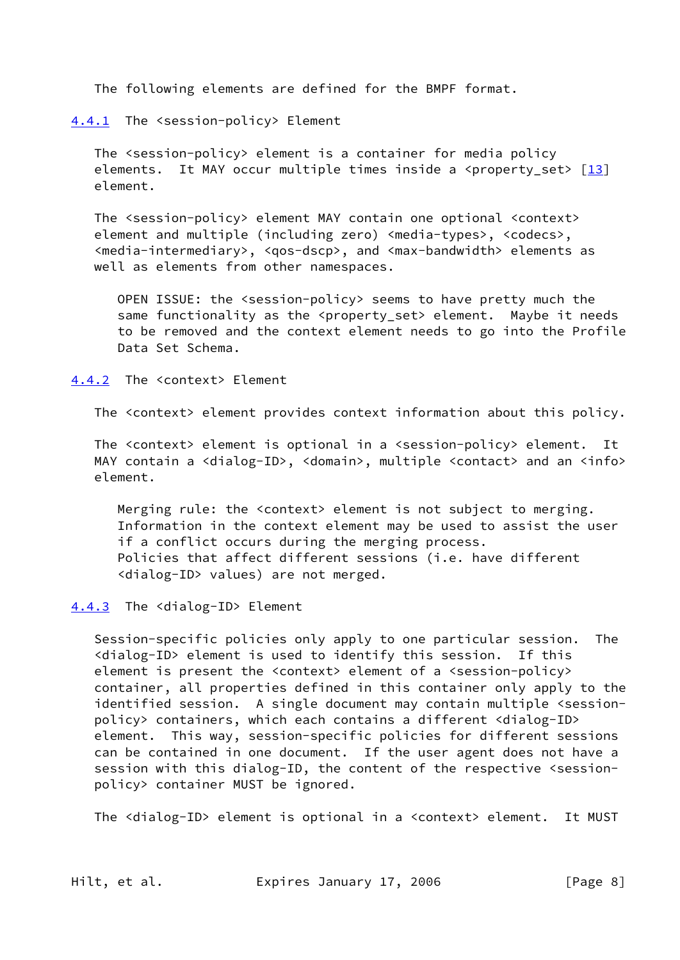The following elements are defined for the BMPF format.

<span id="page-8-0"></span>[4.4.1](#page-8-0) The <session-policy> Element

 The <session-policy> element is a container for media policy elements. It MAY occur multiple times inside a <property set>  $[13]$  $[13]$ element.

 The <session-policy> element MAY contain one optional <context> element and multiple (including zero) <media-types>, <codecs>, <media-intermediary>, <qos-dscp>, and <max-bandwidth> elements as well as elements from other namespaces.

 OPEN ISSUE: the <session-policy> seems to have pretty much the same functionality as the <property set> element. Maybe it needs to be removed and the context element needs to go into the Profile Data Set Schema.

<span id="page-8-1"></span>[4.4.2](#page-8-1) The <context> Element

The <context> element provides context information about this policy.

 The <context> element is optional in a <session-policy> element. It MAY contain a <dialog-ID>, <domain>, multiple <contact> and an <info> element.

 Merging rule: the <context> element is not subject to merging. Information in the context element may be used to assist the user if a conflict occurs during the merging process. Policies that affect different sessions (i.e. have different <dialog-ID> values) are not merged.

<span id="page-8-2"></span>[4.4.3](#page-8-2) The <dialog-ID> Element

 Session-specific policies only apply to one particular session. The <dialog-ID> element is used to identify this session. If this element is present the <context> element of a <session-policy> container, all properties defined in this container only apply to the identified session. A single document may contain multiple <session policy> containers, which each contains a different <dialog-ID> element. This way, session-specific policies for different sessions can be contained in one document. If the user agent does not have a session with this dialog-ID, the content of the respective <session policy> container MUST be ignored.

The <dialog-ID> element is optional in a <context> element. It MUST

Hilt, et al. Expires January 17, 2006 [Page 8]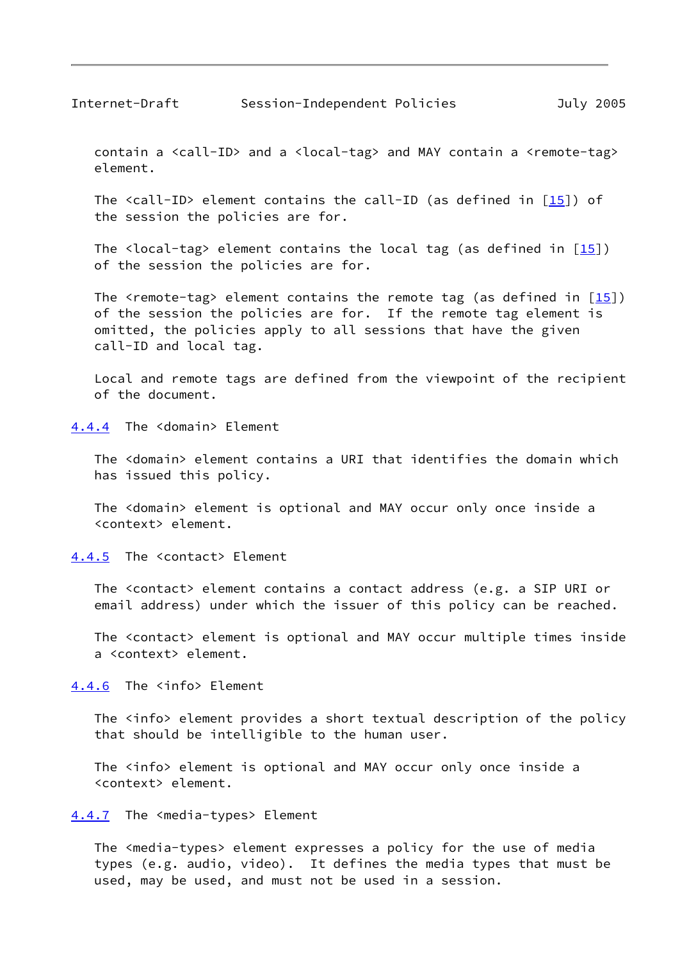<span id="page-9-1"></span> contain a <call-ID> and a <local-tag> and MAY contain a <remote-tag> element.

The  $\langle$ call-ID> element contains the call-ID (as defined in  $[15]$  $[15]$ ) of the session the policies are for.

The <local-tag> element contains the local tag (as defined in  $[15]$  $[15]$ ) of the session the policies are for.

The <remote-tag> element contains the remote tag (as defined in  $[15]$ ) of the session the policies are for. If the remote tag element is omitted, the policies apply to all sessions that have the given call-ID and local tag.

 Local and remote tags are defined from the viewpoint of the recipient of the document.

<span id="page-9-0"></span>[4.4.4](#page-9-0) The <domain> Element

 The <domain> element contains a URI that identifies the domain which has issued this policy.

 The <domain> element is optional and MAY occur only once inside a <context> element.

<span id="page-9-2"></span>[4.4.5](#page-9-2) The <contact> Element

 The <contact> element contains a contact address (e.g. a SIP URI or email address) under which the issuer of this policy can be reached.

 The <contact> element is optional and MAY occur multiple times inside a <context> element.

<span id="page-9-3"></span>[4.4.6](#page-9-3) The <info> Element

The <info> element provides a short textual description of the policy that should be intelligible to the human user.

The <info> element is optional and MAY occur only once inside a <context> element.

<span id="page-9-4"></span>[4.4.7](#page-9-4) The <media-types> Element

The <media-types> element expresses a policy for the use of media types (e.g. audio, video). It defines the media types that must be used, may be used, and must not be used in a session.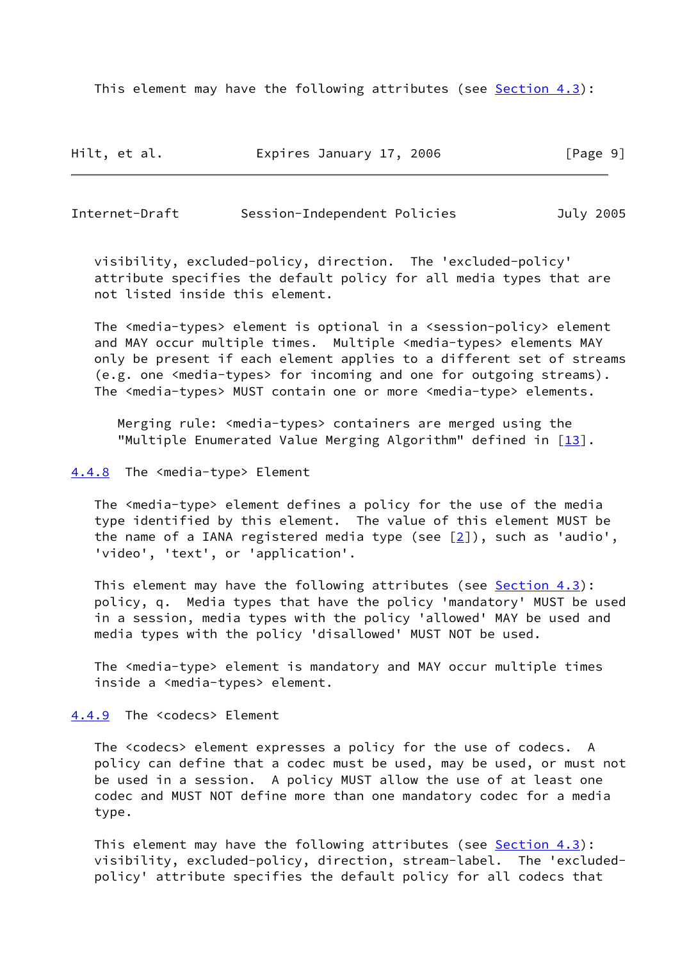This element may have the following attributes (see  $Section 4.3$ ):

| Hilt, et al. | Expires January 17, 2006 | [Page 9] |
|--------------|--------------------------|----------|
|--------------|--------------------------|----------|

<span id="page-10-1"></span>Internet-Draft Session-Independent Policies July 2005

 visibility, excluded-policy, direction. The 'excluded-policy' attribute specifies the default policy for all media types that are not listed inside this element.

 The <media-types> element is optional in a <session-policy> element and MAY occur multiple times. Multiple <media-types> elements MAY only be present if each element applies to a different set of streams (e.g. one <media-types> for incoming and one for outgoing streams). The <media-types> MUST contain one or more <media-type> elements.

 Merging rule: <media-types> containers are merged using the "Multiple Enumerated Value Merging Algorithm" defined in [\[13\]](#page-23-4).

<span id="page-10-0"></span>[4.4.8](#page-10-0) The <media-type> Element

 The <media-type> element defines a policy for the use of the media type identified by this element. The value of this element MUST be the name of a IANA registered media type (see  $[2]$  $[2]$ ), such as 'audio', 'video', 'text', or 'application'.

 This element may have the following attributes (see [Section 4.3\)](#page-6-2): policy, q. Media types that have the policy 'mandatory' MUST be used in a session, media types with the policy 'allowed' MAY be used and media types with the policy 'disallowed' MUST NOT be used.

 The <media-type> element is mandatory and MAY occur multiple times inside a <media-types> element.

<span id="page-10-2"></span>[4.4.9](#page-10-2) The <codecs> Element

 The <codecs> element expresses a policy for the use of codecs. A policy can define that a codec must be used, may be used, or must not be used in a session. A policy MUST allow the use of at least one codec and MUST NOT define more than one mandatory codec for a media type.

This element may have the following attributes (see  $Section 4.3$ ): visibility, excluded-policy, direction, stream-label. The 'excluded policy' attribute specifies the default policy for all codecs that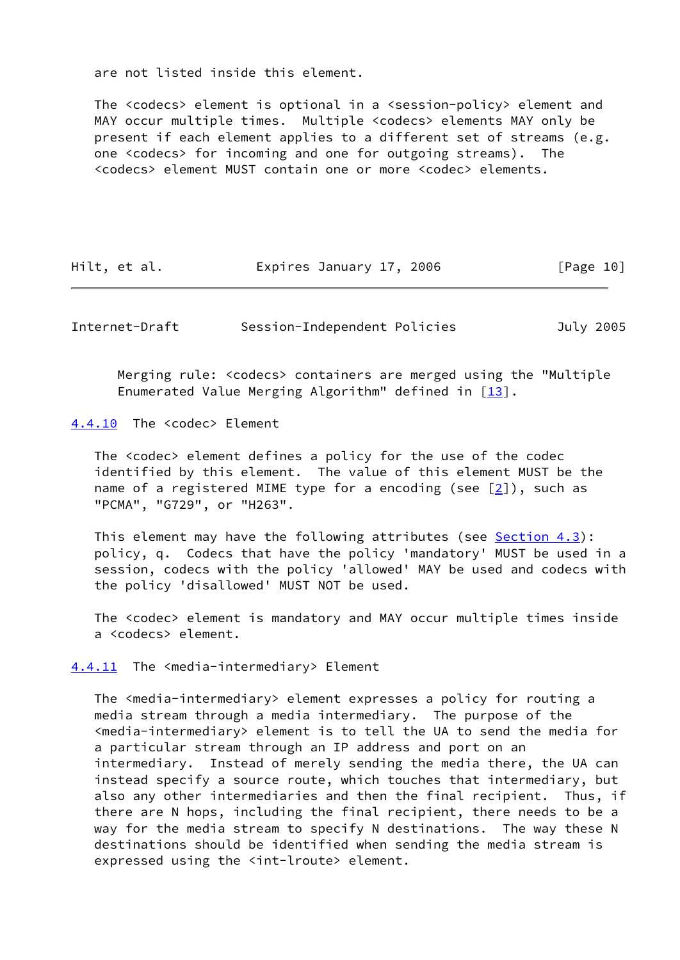are not listed inside this element.

 The <codecs> element is optional in a <session-policy> element and MAY occur multiple times. Multiple <codecs> elements MAY only be present if each element applies to a different set of streams (e.g. one <codecs> for incoming and one for outgoing streams). The <codecs> element MUST contain one or more <codec> elements.

| Hilt, et al.<br>Expires January 17, 2006 | [Page 10] |
|------------------------------------------|-----------|
|------------------------------------------|-----------|

<span id="page-11-1"></span>Internet-Draft Session-Independent Policies July 2005

 Merging rule: <codecs> containers are merged using the "Multiple Enumerated Value Merging Algorithm" defined in  $[13]$  $[13]$ .

<span id="page-11-0"></span>[4.4.10](#page-11-0) The <codec> Element

 The <codec> element defines a policy for the use of the codec identified by this element. The value of this element MUST be the name of a registered MIME type for a encoding (see [[2\]](#page-22-6)), such as "PCMA", "G729", or "H263".

This element may have the following attributes (see [Section 4.3\)](#page-6-2): policy, q. Codecs that have the policy 'mandatory' MUST be used in a session, codecs with the policy 'allowed' MAY be used and codecs with the policy 'disallowed' MUST NOT be used.

 The <codec> element is mandatory and MAY occur multiple times inside a <codecs> element.

<span id="page-11-2"></span>[4.4.11](#page-11-2) The <media-intermediary> Element

The <media-intermediary> element expresses a policy for routing a media stream through a media intermediary. The purpose of the <media-intermediary> element is to tell the UA to send the media for a particular stream through an IP address and port on an intermediary. Instead of merely sending the media there, the UA can instead specify a source route, which touches that intermediary, but also any other intermediaries and then the final recipient. Thus, if there are N hops, including the final recipient, there needs to be a way for the media stream to specify N destinations. The way these N destinations should be identified when sending the media stream is expressed using the <int-lroute> element.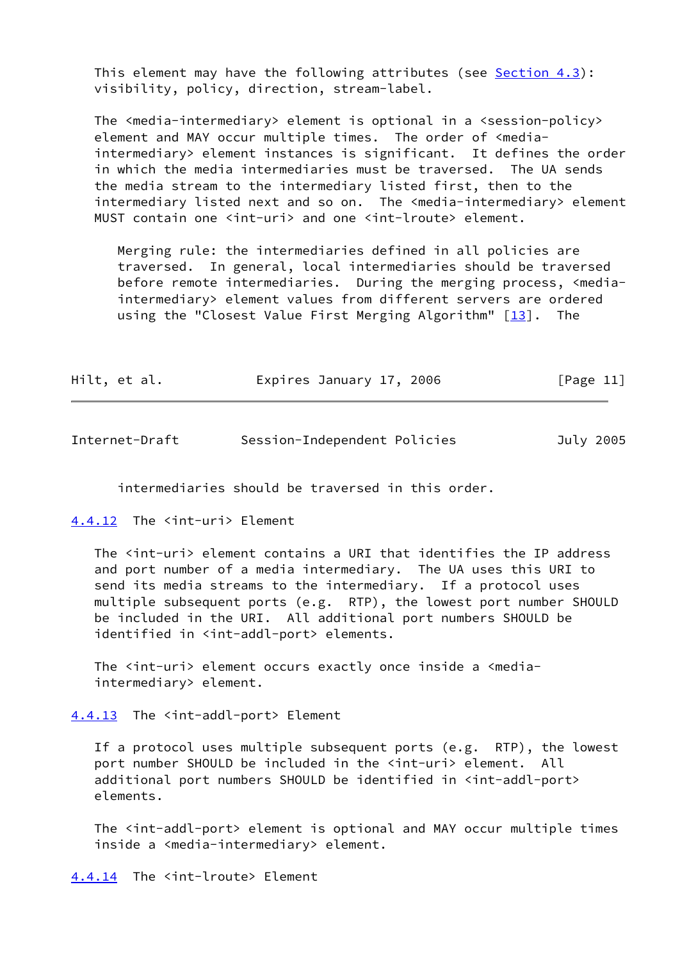This element may have the following attributes (see Section  $4.3$ ): visibility, policy, direction, stream-label.

 The <media-intermediary> element is optional in a <session-policy> element and MAY occur multiple times. The order of <media intermediary> element instances is significant. It defines the order in which the media intermediaries must be traversed. The UA sends the media stream to the intermediary listed first, then to the intermediary listed next and so on. The <media-intermediary> element MUST contain one <int-uri> and one <int-lroute> element.

 Merging rule: the intermediaries defined in all policies are traversed. In general, local intermediaries should be traversed before remote intermediaries. During the merging process, <media intermediary> element values from different servers are ordered using the "Closest Value First Merging Algorithm" [\[13\]](#page-23-4). The

| Hilt, et al. | Expires January 17, 2006 |  | [Page 11] |
|--------------|--------------------------|--|-----------|
|--------------|--------------------------|--|-----------|

<span id="page-12-1"></span>

| Internet-Draft | Session-Independent Policies |  |  | July 2005 |
|----------------|------------------------------|--|--|-----------|
|----------------|------------------------------|--|--|-----------|

intermediaries should be traversed in this order.

<span id="page-12-0"></span>[4.4.12](#page-12-0) The <int-uri> Element

The <int-uri> element contains a URI that identifies the IP address and port number of a media intermediary. The UA uses this URI to send its media streams to the intermediary. If a protocol uses multiple subsequent ports (e.g. RTP), the lowest port number SHOULD be included in the URI. All additional port numbers SHOULD be identified in <int-addl-port> elements.

The <int-uri> element occurs exactly once inside a <mediaintermediary> element.

<span id="page-12-2"></span>[4.4.13](#page-12-2) The <int-addl-port> Element

 If a protocol uses multiple subsequent ports (e.g. RTP), the lowest port number SHOULD be included in the <int-uri> element. All additional port numbers SHOULD be identified in <int-addl-port> elements.

 The <int-addl-port> element is optional and MAY occur multiple times inside a <media-intermediary> element.

<span id="page-12-3"></span>[4.4.14](#page-12-3) The <int-lroute> Element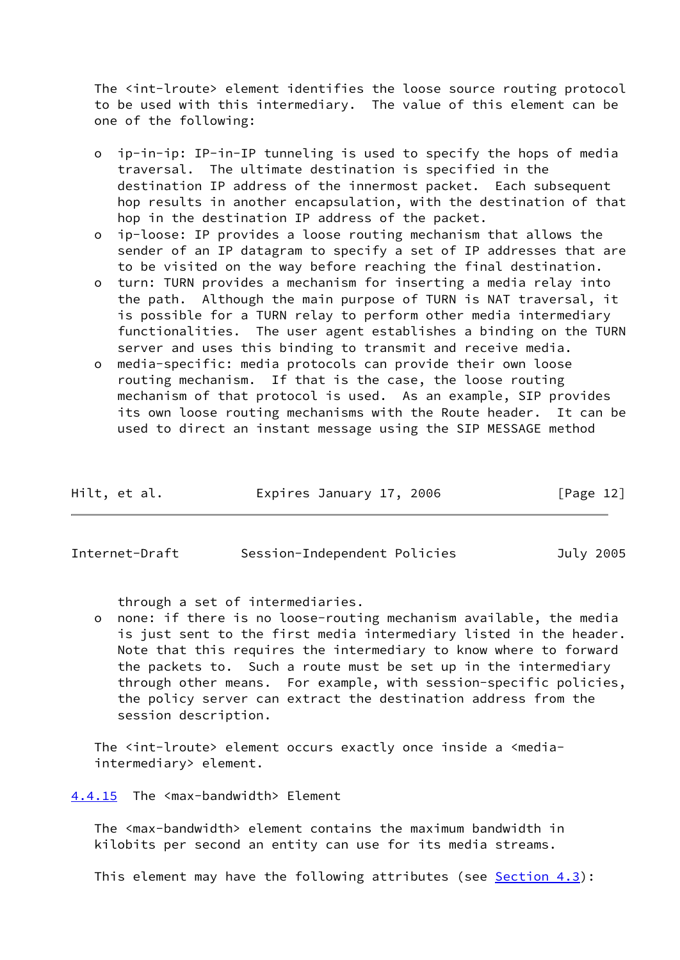The <int-lroute> element identifies the loose source routing protocol to be used with this intermediary. The value of this element can be one of the following:

- o ip-in-ip: IP-in-IP tunneling is used to specify the hops of media traversal. The ultimate destination is specified in the destination IP address of the innermost packet. Each subsequent hop results in another encapsulation, with the destination of that hop in the destination IP address of the packet.
- o ip-loose: IP provides a loose routing mechanism that allows the sender of an IP datagram to specify a set of IP addresses that are to be visited on the way before reaching the final destination.
- o turn: TURN provides a mechanism for inserting a media relay into the path. Although the main purpose of TURN is NAT traversal, it is possible for a TURN relay to perform other media intermediary functionalities. The user agent establishes a binding on the TURN server and uses this binding to transmit and receive media.
- o media-specific: media protocols can provide their own loose routing mechanism. If that is the case, the loose routing mechanism of that protocol is used. As an example, SIP provides its own loose routing mechanisms with the Route header. It can be used to direct an instant message using the SIP MESSAGE method

| Hilt, et al. | Expires January 17, 2006 |  | [Page 12] |  |
|--------------|--------------------------|--|-----------|--|
|              |                          |  |           |  |

<span id="page-13-1"></span>

| Internet-Draft | Session-Independent Policies | July 2005 |
|----------------|------------------------------|-----------|
|----------------|------------------------------|-----------|

through a set of intermediaries.

 o none: if there is no loose-routing mechanism available, the media is just sent to the first media intermediary listed in the header. Note that this requires the intermediary to know where to forward the packets to. Such a route must be set up in the intermediary through other means. For example, with session-specific policies, the policy server can extract the destination address from the session description.

The <int-lroute> element occurs exactly once inside a <mediaintermediary> element.

<span id="page-13-0"></span>[4.4.15](#page-13-0) The <max-bandwidth> Element

 The <max-bandwidth> element contains the maximum bandwidth in kilobits per second an entity can use for its media streams.

This element may have the following attributes (see  $Section 4.3$ ):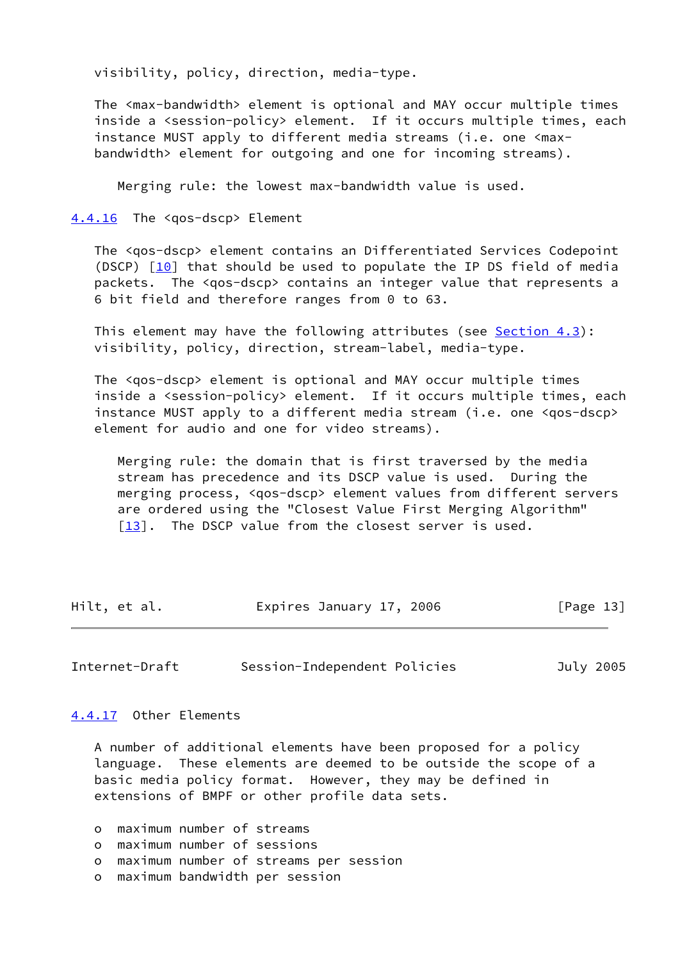visibility, policy, direction, media-type.

 The <max-bandwidth> element is optional and MAY occur multiple times inside a <session-policy> element. If it occurs multiple times, each instance MUST apply to different media streams (i.e. one <max bandwidth> element for outgoing and one for incoming streams).

Merging rule: the lowest max-bandwidth value is used.

<span id="page-14-0"></span>[4.4.16](#page-14-0) The <qos-dscp> Element

 The <qos-dscp> element contains an Differentiated Services Codepoint (DSCP) [\[10](#page-23-9)] that should be used to populate the IP DS field of media packets. The <qos-dscp> contains an integer value that represents a 6 bit field and therefore ranges from 0 to 63.

 This element may have the following attributes (see [Section 4.3\)](#page-6-2): visibility, policy, direction, stream-label, media-type.

 The <qos-dscp> element is optional and MAY occur multiple times inside a <session-policy> element. If it occurs multiple times, each instance MUST apply to a different media stream (i.e. one <qos-dscp> element for audio and one for video streams).

 Merging rule: the domain that is first traversed by the media stream has precedence and its DSCP value is used. During the merging process, <qos-dscp> element values from different servers are ordered using the "Closest Value First Merging Algorithm" [[13\]](#page-23-4). The DSCP value from the closest server is used.

| Hilt, et al. | Expires January 17, 2006 | [Page 13] |
|--------------|--------------------------|-----------|
|--------------|--------------------------|-----------|

<span id="page-14-2"></span>Internet-Draft Session-Independent Policies July 2005

<span id="page-14-1"></span>[4.4.17](#page-14-1) Other Elements

 A number of additional elements have been proposed for a policy language. These elements are deemed to be outside the scope of a basic media policy format. However, they may be defined in extensions of BMPF or other profile data sets.

o maximum number of streams

o maximum number of sessions

o maximum number of streams per session

o maximum bandwidth per session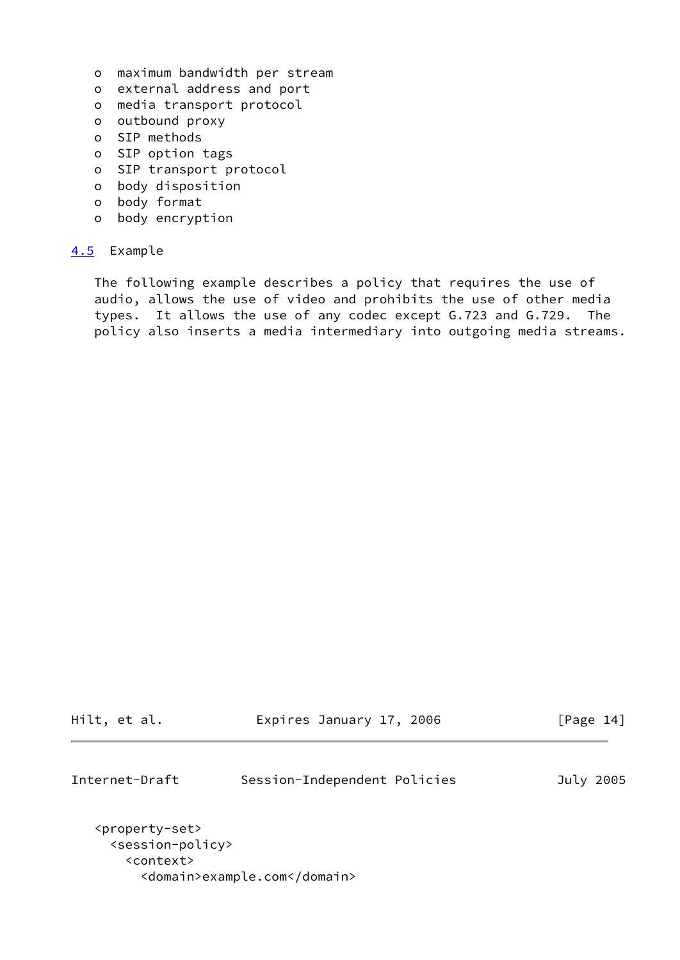- o maximum bandwidth per stream
- o external address and port
- o media transport protocol
- o outbound proxy
- o SIP methods
- o SIP option tags
- o SIP transport protocol
- o body disposition
- o body format
- o body encryption

## <span id="page-15-0"></span>[4.5](#page-15-0) Example

 The following example describes a policy that requires the use of audio, allows the use of video and prohibits the use of other media types. It allows the use of any codec except G.723 and G.729. The policy also inserts a media intermediary into outgoing media streams.

Hilt, et al. **Expires January 17, 2006** [Page 14]

<span id="page-15-1"></span>Internet-Draft Session-Independent Policies July 2005

```
 <property-set>
   <session-policy>
     <context>
       <domain>example.com</domain>
```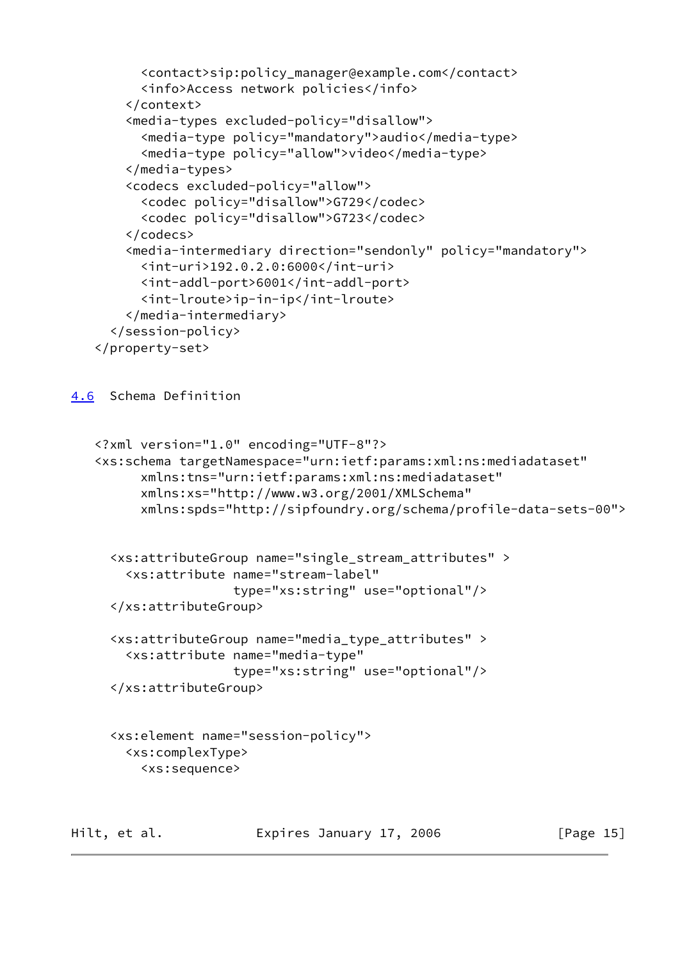```
 <contact>sip:policy_manager@example.com</contact>
       <info>Access network policies</info>
     </context>
     <media-types excluded-policy="disallow">
       <media-type policy="mandatory">audio</media-type>
       <media-type policy="allow">video</media-type>
     </media-types>
     <codecs excluded-policy="allow">
       <codec policy="disallow">G729</codec>
       <codec policy="disallow">G723</codec>
     </codecs>
     <media-intermediary direction="sendonly" policy="mandatory">
       <int-uri>192.0.2.0:6000</int-uri>
       <int-addl-port>6001</int-addl-port>
       <int-lroute>ip-in-ip</int-lroute>
     </media-intermediary>
   </session-policy>
 </property-set>
```
<span id="page-16-0"></span>[4.6](#page-16-0) Schema Definition

```
 <?xml version="1.0" encoding="UTF-8"?>
 <xs:schema targetNamespace="urn:ietf:params:xml:ns:mediadataset"
       xmlns:tns="urn:ietf:params:xml:ns:mediadataset"
       xmlns:xs="http://www.w3.org/2001/XMLSchema"
       xmlns:spds="http://sipfoundry.org/schema/profile-data-sets-00">
   <xs:attributeGroup name="single_stream_attributes" >
     <xs:attribute name="stream-label"
                   type="xs:string" use="optional"/>
```

```
 </xs:attributeGroup>
```

```
 <xs:attributeGroup name="media_type_attributes" >
   <xs:attribute name="media-type"
                 type="xs:string" use="optional"/>
 </xs:attributeGroup>
```

```
 <xs:element name="session-policy">
   <xs:complexType>
     <xs:sequence>
```
Hilt, et al. **Expires January 17, 2006** [Page 15]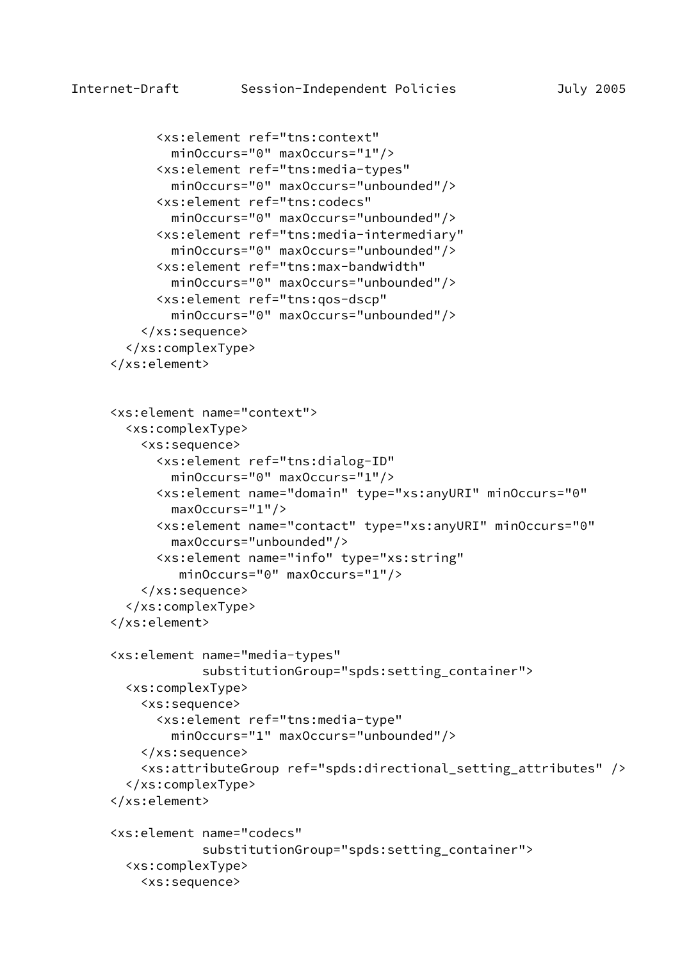```
 <xs:element ref="tns:context"
         minOccurs="0" maxOccurs="1"/>
       <xs:element ref="tns:media-types"
         minOccurs="0" maxOccurs="unbounded"/>
       <xs:element ref="tns:codecs"
         minOccurs="0" maxOccurs="unbounded"/>
       <xs:element ref="tns:media-intermediary"
         minOccurs="0" maxOccurs="unbounded"/>
       <xs:element ref="tns:max-bandwidth"
         minOccurs="0" maxOccurs="unbounded"/>
       <xs:element ref="tns:qos-dscp"
         minOccurs="0" maxOccurs="unbounded"/>
     </xs:sequence>
   </xs:complexType>
 </xs:element>
 <xs:element name="context">
   <xs:complexType>
     <xs:sequence>
       <xs:element ref="tns:dialog-ID"
         minOccurs="0" maxOccurs="1"/>
       <xs:element name="domain" type="xs:anyURI" minOccurs="0"
         maxOccurs="1"/>
       <xs:element name="contact" type="xs:anyURI" minOccurs="0"
         maxOccurs="unbounded"/>
       <xs:element name="info" type="xs:string"
          minOccurs="0" maxOccurs="1"/>
     </xs:sequence>
   </xs:complexType>
 </xs:element>
 <xs:element name="media-types"
             substitutionGroup="spds:setting_container">
   <xs:complexType>
     <xs:sequence>
       <xs:element ref="tns:media-type"
         minOccurs="1" maxOccurs="unbounded"/>
     </xs:sequence>
     <xs:attributeGroup ref="spds:directional_setting_attributes" />
   </xs:complexType>
 </xs:element>
 <xs:element name="codecs"
             substitutionGroup="spds:setting_container">
   <xs:complexType>
     <xs:sequence>
```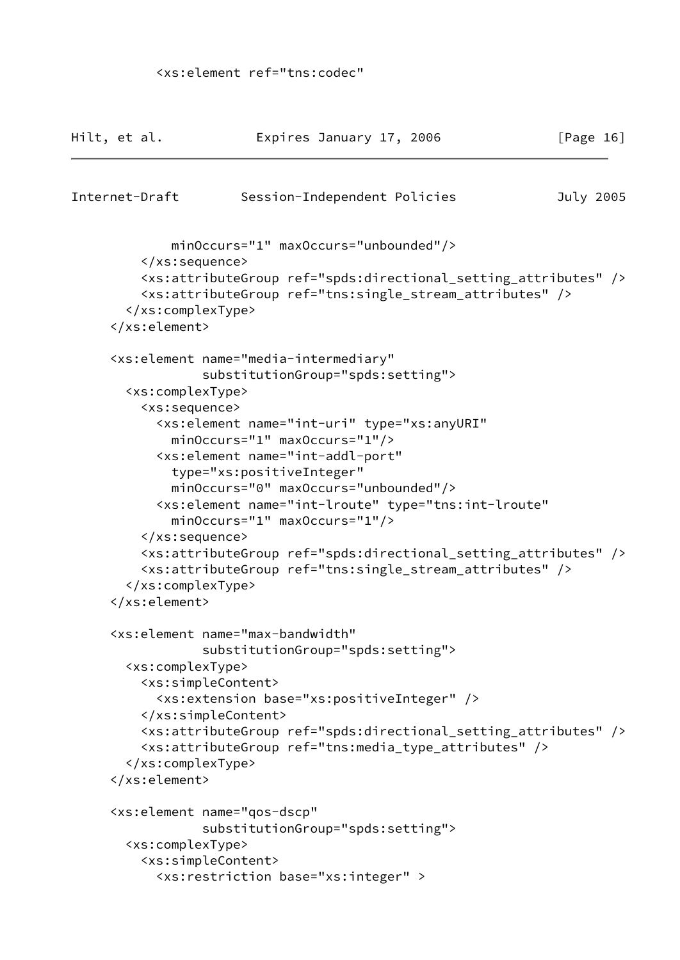```
 <xs:element ref="tns:codec"
```

```
Hilt, et al.                 Expires January 17, 2006               [Page 16]
Internet-Draft Session-Independent Policies July 2005
              minOccurs="1" maxOccurs="unbounded"/>
          </xs:sequence>
          <xs:attributeGroup ref="spds:directional_setting_attributes" />
          <xs:attributeGroup ref="tns:single_stream_attributes" />
        </xs:complexType>
      </xs:element>
      <xs:element name="media-intermediary"
                  substitutionGroup="spds:setting">
        <xs:complexType>
          <xs:sequence>
            <xs:element name="int-uri" type="xs:anyURI"
              minOccurs="1" maxOccurs="1"/>
            <xs:element name="int-addl-port"
              type="xs:positiveInteger"
              minOccurs="0" maxOccurs="unbounded"/>
            <xs:element name="int-lroute" type="tns:int-lroute"
              minOccurs="1" maxOccurs="1"/>
          </xs:sequence>
          <xs:attributeGroup ref="spds:directional_setting_attributes" />
          <xs:attributeGroup ref="tns:single_stream_attributes" />
        </xs:complexType>
      </xs:element>
      <xs:element name="max-bandwidth"
                  substitutionGroup="spds:setting">
        <xs:complexType>
          <xs:simpleContent>
            <xs:extension base="xs:positiveInteger" />
          </xs:simpleContent>
          <xs:attributeGroup ref="spds:directional_setting_attributes" />
          <xs:attributeGroup ref="tns:media_type_attributes" />
        </xs:complexType>
      </xs:element>
      <xs:element name="qos-dscp"
                  substitutionGroup="spds:setting">
        <xs:complexType>
          <xs:simpleContent>
            <xs:restriction base="xs:integer" >
```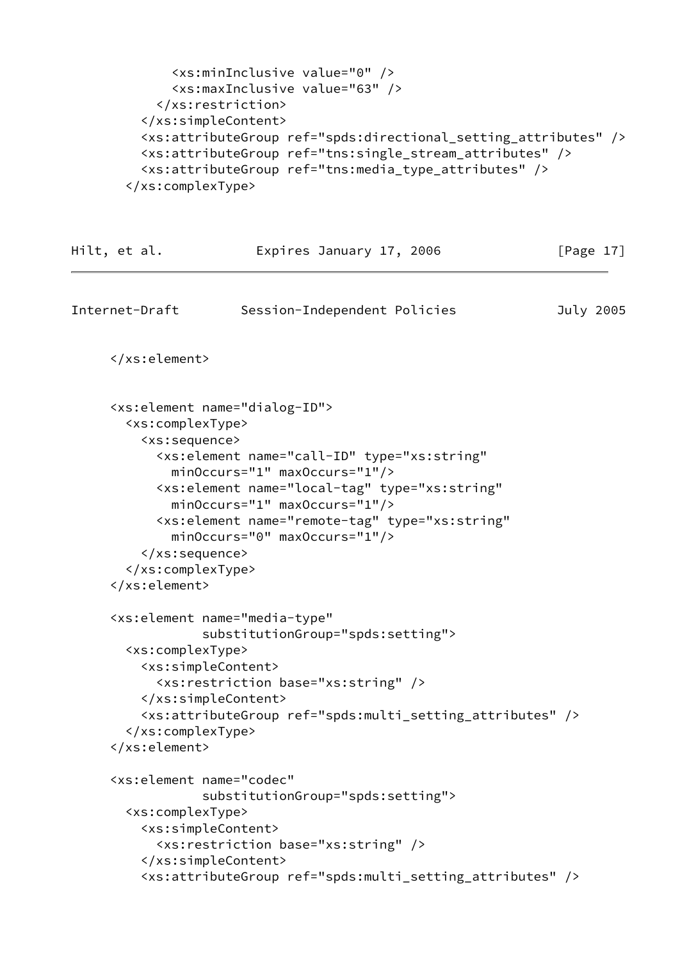```
 <xs:minInclusive value="0" />
       <xs:maxInclusive value="63" />
     </xs:restriction>
   </xs:simpleContent>
   <xs:attributeGroup ref="spds:directional_setting_attributes" />
   <xs:attributeGroup ref="tns:single_stream_attributes" />
   <xs:attributeGroup ref="tns:media_type_attributes" />
 </xs:complexType>
```

```
Hilt, et al. Expires January 17, 2006 [Page 17]
Internet-Draft Session-Independent Policies July 2005
      </xs:element>
      <xs:element name="dialog-ID">
        <xs:complexType>
          <xs:sequence>
            <xs:element name="call-ID" type="xs:string"
              minOccurs="1" maxOccurs="1"/>
            <xs:element name="local-tag" type="xs:string"
              minOccurs="1" maxOccurs="1"/>
            <xs:element name="remote-tag" type="xs:string"
              minOccurs="0" maxOccurs="1"/>
          </xs:sequence>
        </xs:complexType>
      </xs:element>
      <xs:element name="media-type"
                  substitutionGroup="spds:setting">
        <xs:complexType>
          <xs:simpleContent>
            <xs:restriction base="xs:string" />
          </xs:simpleContent>
          <xs:attributeGroup ref="spds:multi_setting_attributes" />
        </xs:complexType>
      </xs:element>
      <xs:element name="codec"
                  substitutionGroup="spds:setting">
        <xs:complexType>
          <xs:simpleContent>
            <xs:restriction base="xs:string" />
          </xs:simpleContent>
          <xs:attributeGroup ref="spds:multi_setting_attributes" />
```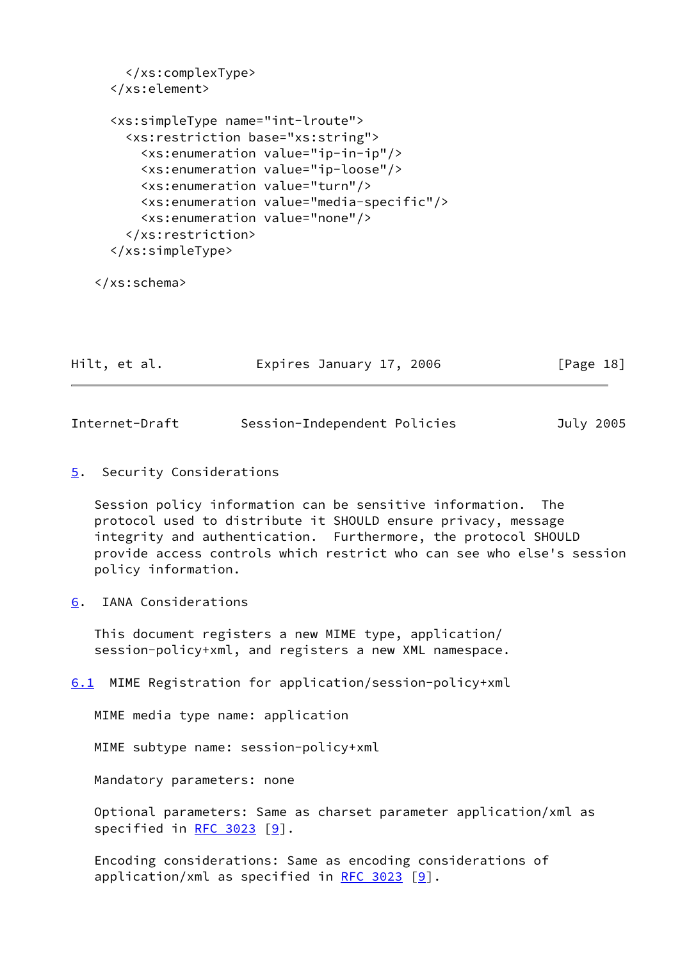```
 </xs:complexType>
 </xs:element>
 <xs:simpleType name="int-lroute">
   <xs:restriction base="xs:string">
     <xs:enumeration value="ip-in-ip"/>
     <xs:enumeration value="ip-loose"/>
     <xs:enumeration value="turn"/>
     <xs:enumeration value="media-specific"/>
     <xs:enumeration value="none"/>
   </xs:restriction>
 </xs:simpleType>
```

```
 </xs:schema>
```

| Hilt, et al. | Expires January 17, 2006 | [Page 18] |
|--------------|--------------------------|-----------|
|              |                          |           |

<span id="page-20-1"></span>

| Internet-Draft | Session-Independent Policies | July 2005 |  |
|----------------|------------------------------|-----------|--|
|                |                              |           |  |

<span id="page-20-0"></span>[5](#page-20-0). Security Considerations

 Session policy information can be sensitive information. The protocol used to distribute it SHOULD ensure privacy, message integrity and authentication. Furthermore, the protocol SHOULD provide access controls which restrict who can see who else's session policy information.

<span id="page-20-2"></span>[6](#page-20-2). IANA Considerations

 This document registers a new MIME type, application/ session-policy+xml, and registers a new XML namespace.

<span id="page-20-3"></span>[6.1](#page-20-3) MIME Registration for application/session-policy+xml

MIME media type name: application

MIME subtype name: session-policy+xml

Mandatory parameters: none

 Optional parameters: Same as charset parameter application/xml as specified in [RFC 3023](https://datatracker.ietf.org/doc/pdf/rfc3023) [[9\]](#page-23-10).

 Encoding considerations: Same as encoding considerations of application/xml as specified in [RFC 3023](https://datatracker.ietf.org/doc/pdf/rfc3023)  $[9]$ .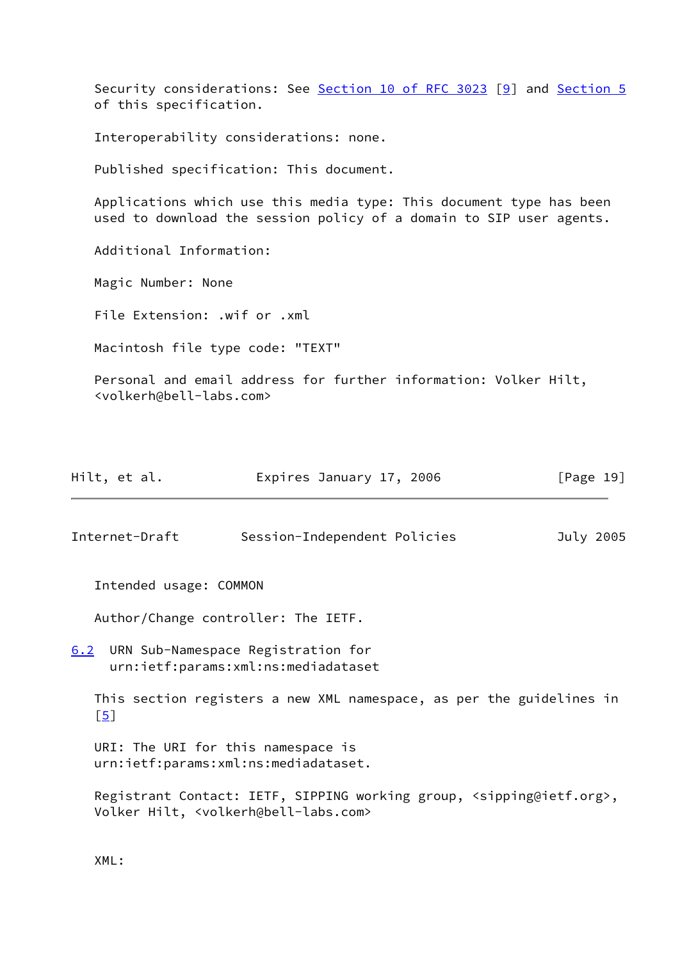Security considerations: See Section [10 of RFC 3023](https://datatracker.ietf.org/doc/pdf/rfc3023#section-10) [\[9](#page-23-10)] and [Section 5](#page-20-0) of this specification.

Interoperability considerations: none.

Published specification: This document.

 Applications which use this media type: This document type has been used to download the session policy of a domain to SIP user agents.

Additional Information:

Magic Number: None

File Extension: .wif or .xml

Macintosh file type code: "TEXT"

 Personal and email address for further information: Volker Hilt, <volkerh@bell-labs.com>

| Hilt, et al. | Expires January 17, 2006 | [Page 19] |
|--------------|--------------------------|-----------|
|              |                          |           |

<span id="page-21-0"></span>Internet-Draft Session-Independent Policies July 2005

Intended usage: COMMON

Author/Change controller: The IETF.

<span id="page-21-1"></span>[6.2](#page-21-1) URN Sub-Namespace Registration for urn:ietf:params:xml:ns:mediadataset

 This section registers a new XML namespace, as per the guidelines in  $[5]$  $[5]$ 

 URI: The URI for this namespace is urn:ietf:params:xml:ns:mediadataset.

 Registrant Contact: IETF, SIPPING working group, <sipping@ietf.org>, Volker Hilt, <volkerh@bell-labs.com>

XML: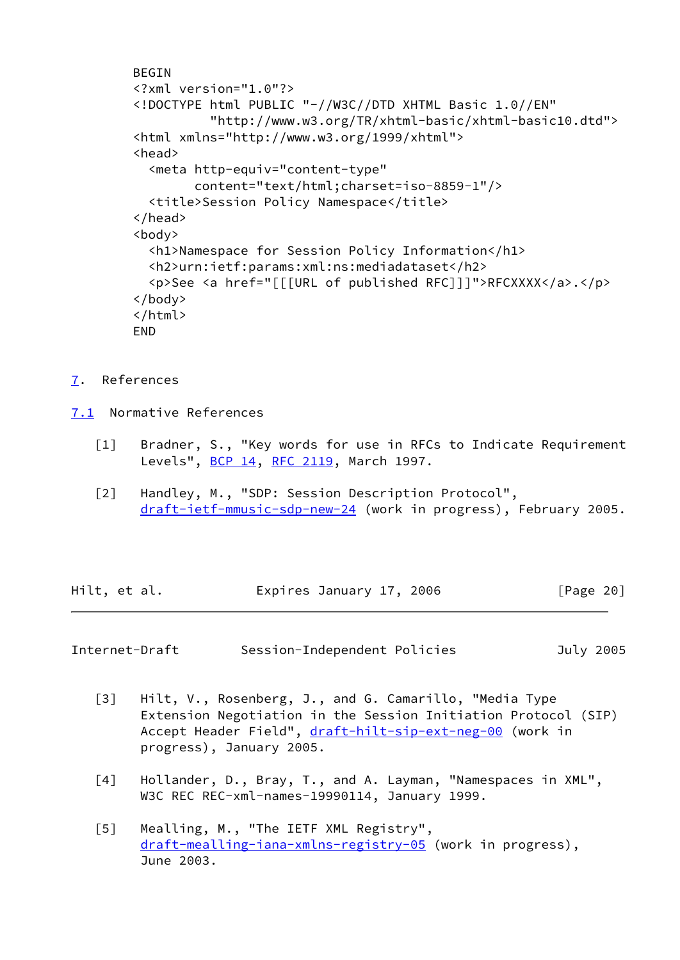```
 BEGIN
 <?xml version="1.0"?>
 <!DOCTYPE html PUBLIC "-//W3C//DTD XHTML Basic 1.0//EN"
           "http://www.w3.org/TR/xhtml-basic/xhtml-basic10.dtd">
 <html xmlns="http://www.w3.org/1999/xhtml">
 <head>
   <meta http-equiv="content-type"
         content="text/html;charset=iso-8859-1"/>
   <title>Session Policy Namespace</title>
 </head>
 <body>
   <h1>Namespace for Session Policy Information</h1>
   <h2>urn:ietf:params:xml:ns:mediadataset</h2>
   <p>See <a href="[[[URL of published RFC]]]">RFCXXXX</a>.</p>
 </body>
 </html>
 END
```
- <span id="page-22-0"></span>[7](#page-22-0). References
- <span id="page-22-6"></span><span id="page-22-2"></span><span id="page-22-1"></span>[7.1](#page-22-1) Normative References
	- [1] Bradner, S., "Key words for use in RFCs to Indicate Requirement Levels", [BCP 14](https://datatracker.ietf.org/doc/pdf/bcp14), [RFC 2119,](https://datatracker.ietf.org/doc/pdf/rfc2119) March 1997.
	- [2] Handley, M., "SDP: Session Description Protocol", [draft-ietf-mmusic-sdp-new-24](https://datatracker.ietf.org/doc/pdf/draft-ietf-mmusic-sdp-new-24) (work in progress), February 2005.

| Hilt, et al. | Expires January 17, 2006 | [Page 20] |
|--------------|--------------------------|-----------|
|--------------|--------------------------|-----------|

Internet-Draft Session-Independent Policies July 2005

- <span id="page-22-3"></span> [3] Hilt, V., Rosenberg, J., and G. Camarillo, "Media Type Extension Negotiation in the Session Initiation Protocol (SIP) Accept Header Field", [draft-hilt-sip-ext-neg-00](https://datatracker.ietf.org/doc/pdf/draft-hilt-sip-ext-neg-00) (work in progress), January 2005.
- <span id="page-22-4"></span> [4] Hollander, D., Bray, T., and A. Layman, "Namespaces in XML", W3C REC REC-xml-names-19990114, January 1999.
- <span id="page-22-5"></span> [5] Mealling, M., "The IETF XML Registry", [draft-mealling-iana-xmlns-registry-05](https://datatracker.ietf.org/doc/pdf/draft-mealling-iana-xmlns-registry-05) (work in progress), June 2003.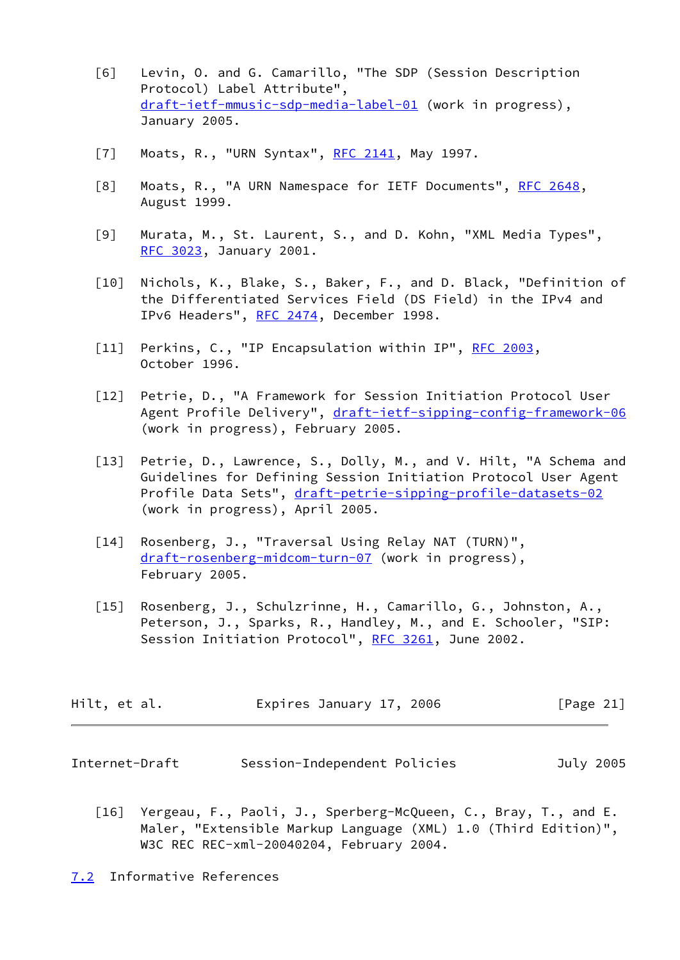- <span id="page-23-8"></span> [6] Levin, O. and G. Camarillo, "The SDP (Session Description Protocol) Label Attribute", [draft-ietf-mmusic-sdp-media-label-01](https://datatracker.ietf.org/doc/pdf/draft-ietf-mmusic-sdp-media-label-01) (work in progress), January 2005.
- <span id="page-23-6"></span>[7] Moats, R., "URN Syntax", [RFC 2141,](https://datatracker.ietf.org/doc/pdf/rfc2141) May 1997.
- <span id="page-23-7"></span>[8] Moats, R., "A URN Namespace for IETF Documents", [RFC 2648,](https://datatracker.ietf.org/doc/pdf/rfc2648) August 1999.
- <span id="page-23-10"></span> [9] Murata, M., St. Laurent, S., and D. Kohn, "XML Media Types", [RFC 3023](https://datatracker.ietf.org/doc/pdf/rfc3023), January 2001.
- <span id="page-23-9"></span> [10] Nichols, K., Blake, S., Baker, F., and D. Black, "Definition of the Differentiated Services Field (DS Field) in the IPv4 and IPv6 Headers", [RFC 2474](https://datatracker.ietf.org/doc/pdf/rfc2474), December 1998.
- [11] Perkins, C., "IP Encapsulation within IP", [RFC 2003](https://datatracker.ietf.org/doc/pdf/rfc2003), October 1996.
- <span id="page-23-5"></span>[12] Petrie, D., "A Framework for Session Initiation Protocol User Agent Profile Delivery", [draft-ietf-sipping-config-framework-06](https://datatracker.ietf.org/doc/pdf/draft-ietf-sipping-config-framework-06) (work in progress), February 2005.
- <span id="page-23-4"></span>[13] Petrie, D., Lawrence, S., Dolly, M., and V. Hilt, "A Schema and Guidelines for Defining Session Initiation Protocol User Agent Profile Data Sets", [draft-petrie-sipping-profile-datasets-02](https://datatracker.ietf.org/doc/pdf/draft-petrie-sipping-profile-datasets-02) (work in progress), April 2005.
- [14] Rosenberg, J., "Traversal Using Relay NAT (TURN)", [draft-rosenberg-midcom-turn-07](https://datatracker.ietf.org/doc/pdf/draft-rosenberg-midcom-turn-07) (work in progress), February 2005.
- <span id="page-23-2"></span> [15] Rosenberg, J., Schulzrinne, H., Camarillo, G., Johnston, A., Peterson, J., Sparks, R., Handley, M., and E. Schooler, "SIP: Session Initiation Protocol", [RFC 3261,](https://datatracker.ietf.org/doc/pdf/rfc3261) June 2002.

| Hilt, et al. | Expires January 17, 2006 | [Page 21] |
|--------------|--------------------------|-----------|
|--------------|--------------------------|-----------|

<span id="page-23-0"></span>Internet-Draft Session-Independent Policies July 2005

<span id="page-23-3"></span> [16] Yergeau, F., Paoli, J., Sperberg-McQueen, C., Bray, T., and E. Maler, "Extensible Markup Language (XML) 1.0 (Third Edition)", W3C REC REC-xml-20040204, February 2004.

<span id="page-23-1"></span>[7.2](#page-23-1) Informative References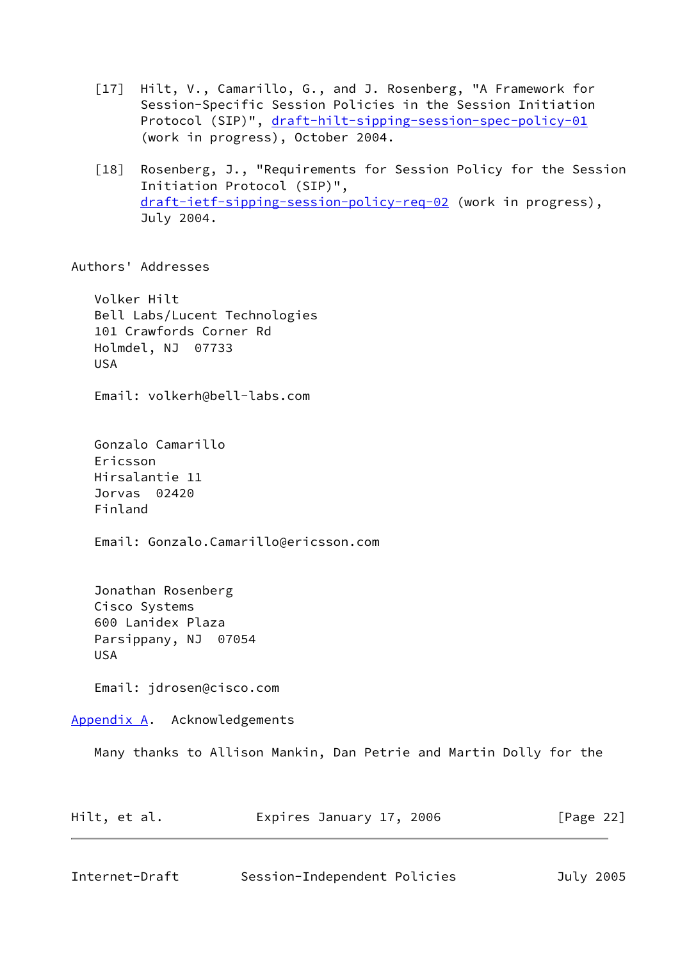- [17] Hilt, V., Camarillo, G., and J. Rosenberg, "A Framework for Session-Specific Session Policies in the Session Initiation Protocol (SIP)", [draft-hilt-sipping-session-spec-policy-01](https://datatracker.ietf.org/doc/pdf/draft-hilt-sipping-session-spec-policy-01) (work in progress), October 2004.
- <span id="page-24-1"></span> [18] Rosenberg, J., "Requirements for Session Policy for the Session Initiation Protocol (SIP)", [draft-ietf-sipping-session-policy-req-02](https://datatracker.ietf.org/doc/pdf/draft-ietf-sipping-session-policy-req-02) (work in progress), July 2004.

Authors' Addresses

 Volker Hilt Bell Labs/Lucent Technologies 101 Crawfords Corner Rd Holmdel, NJ 07733 USA

Email: volkerh@bell-labs.com

 Gonzalo Camarillo Ericsson Hirsalantie 11 Jorvas 02420 Finland

Email: Gonzalo.Camarillo@ericsson.com

 Jonathan Rosenberg Cisco Systems 600 Lanidex Plaza Parsippany, NJ 07054 USA

Email: jdrosen@cisco.com

<span id="page-24-0"></span>[Appendix A.](#page-24-0) Acknowledgements

Many thanks to Allison Mankin, Dan Petrie and Martin Dolly for the

| Hilt, et al. | Expires January 17, 2006 | [Page 22] |
|--------------|--------------------------|-----------|
|              |                          |           |

Internet-Draft Session-Independent Policies July 2005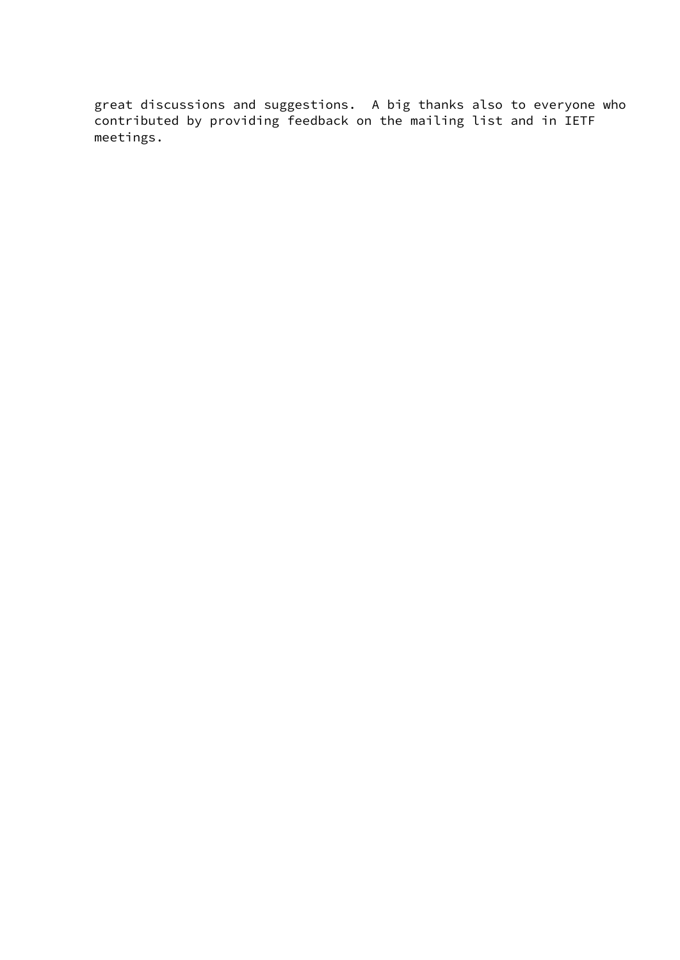great discussions and suggestions. A big thanks also to everyone who contributed by providing feedback on the mailing list and in IETF meetings.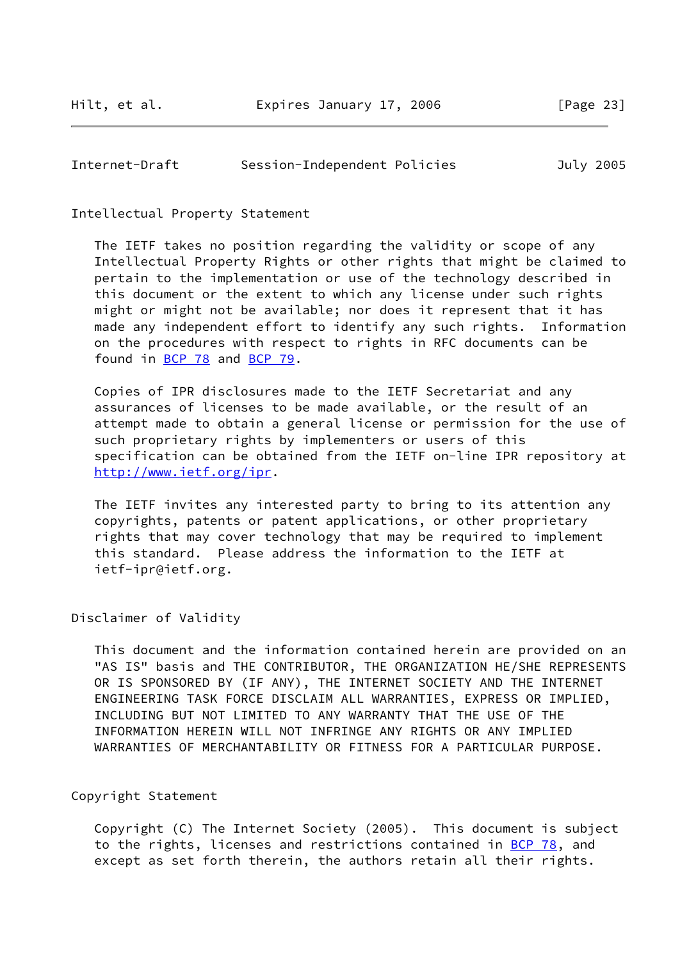<span id="page-26-0"></span>

| Internet-Draft | Session-Independent Policies |  |  | July 2005 |
|----------------|------------------------------|--|--|-----------|
|----------------|------------------------------|--|--|-----------|

Intellectual Property Statement

 The IETF takes no position regarding the validity or scope of any Intellectual Property Rights or other rights that might be claimed to pertain to the implementation or use of the technology described in this document or the extent to which any license under such rights might or might not be available; nor does it represent that it has made any independent effort to identify any such rights. Information on the procedures with respect to rights in RFC documents can be found in [BCP 78](https://datatracker.ietf.org/doc/pdf/bcp78) and [BCP 79](https://datatracker.ietf.org/doc/pdf/bcp79).

 Copies of IPR disclosures made to the IETF Secretariat and any assurances of licenses to be made available, or the result of an attempt made to obtain a general license or permission for the use of such proprietary rights by implementers or users of this specification can be obtained from the IETF on-line IPR repository at <http://www.ietf.org/ipr>.

 The IETF invites any interested party to bring to its attention any copyrights, patents or patent applications, or other proprietary rights that may cover technology that may be required to implement this standard. Please address the information to the IETF at ietf-ipr@ietf.org.

Disclaimer of Validity

 This document and the information contained herein are provided on an "AS IS" basis and THE CONTRIBUTOR, THE ORGANIZATION HE/SHE REPRESENTS OR IS SPONSORED BY (IF ANY), THE INTERNET SOCIETY AND THE INTERNET ENGINEERING TASK FORCE DISCLAIM ALL WARRANTIES, EXPRESS OR IMPLIED, INCLUDING BUT NOT LIMITED TO ANY WARRANTY THAT THE USE OF THE INFORMATION HEREIN WILL NOT INFRINGE ANY RIGHTS OR ANY IMPLIED WARRANTIES OF MERCHANTABILITY OR FITNESS FOR A PARTICULAR PURPOSE.

Copyright Statement

 Copyright (C) The Internet Society (2005). This document is subject to the rights, licenses and restrictions contained in [BCP 78](https://datatracker.ietf.org/doc/pdf/bcp78), and except as set forth therein, the authors retain all their rights.